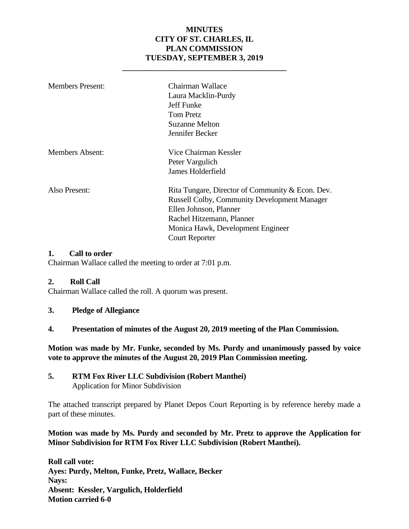#### **MINUTES CITY OF ST. CHARLES, IL PLAN COMMISSION TUESDAY, SEPTEMBER 3, 2019**

**\_\_\_\_\_\_\_\_\_\_\_\_\_\_\_\_\_\_\_\_\_\_\_\_\_\_\_\_\_\_\_\_\_\_\_\_\_\_\_\_\_**

| <b>Members Present:</b> | Chairman Wallace<br>Laura Macklin-Purdy<br>Jeff Funke<br>Tom Pretz<br>Suzanne Melton<br>Jennifer Becker                                                                                                                      |
|-------------------------|------------------------------------------------------------------------------------------------------------------------------------------------------------------------------------------------------------------------------|
| <b>Members Absent:</b>  | Vice Chairman Kessler<br>Peter Vargulich<br>James Holderfield                                                                                                                                                                |
| Also Present:           | Rita Tungare, Director of Community & Econ. Dev.<br><b>Russell Colby, Community Development Manager</b><br>Ellen Johnson, Planner<br>Rachel Hitzemann, Planner<br>Monica Hawk, Development Engineer<br><b>Court Reporter</b> |

#### **1. Call to order**

Chairman Wallace called the meeting to order at 7:01 p.m.

#### **2. Roll Call**

Chairman Wallace called the roll. A quorum was present.

- **3. Pledge of Allegiance**
- **4. Presentation of minutes of the August 20, 2019 meeting of the Plan Commission.**

**Motion was made by Mr. Funke, seconded by Ms. Purdy and unanimously passed by voice vote to approve the minutes of the August 20, 2019 Plan Commission meeting.** 

**5. RTM Fox River LLC Subdivision (Robert Manthei)** Application for Minor Subdivision

The attached transcript prepared by Planet Depos Court Reporting is by reference hereby made a part of these minutes.

#### **Motion was made by Ms. Purdy and seconded by Mr. Pretz to approve the Application for Minor Subdivision for RTM Fox River LLC Subdivision (Robert Manthei).**

**Roll call vote: Ayes: Purdy, Melton, Funke, Pretz, Wallace, Becker Nays: Absent: Kessler, Vargulich, Holderfield Motion carried 6-0**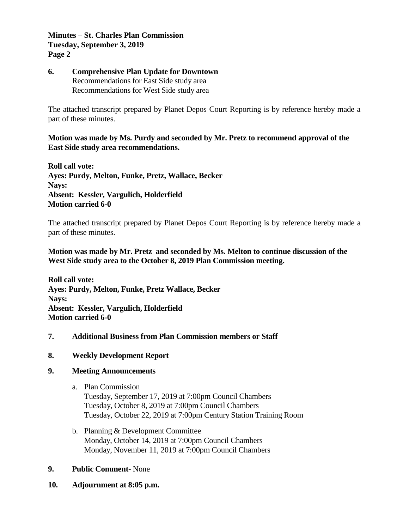**Minutes – St. Charles Plan Commission Tuesday, September 3, 2019 Page 2**

#### **6. Comprehensive Plan Update for Downtown** Recommendations for East Side study area Recommendations for West Side study area

The attached transcript prepared by Planet Depos Court Reporting is by reference hereby made a part of these minutes.

#### **Motion was made by Ms. Purdy and seconded by Mr. Pretz to recommend approval of the East Side study area recommendations.**

**Roll call vote: Ayes: Purdy, Melton, Funke, Pretz, Wallace, Becker Nays: Absent: Kessler, Vargulich, Holderfield Motion carried 6-0**

The attached transcript prepared by Planet Depos Court Reporting is by reference hereby made a part of these minutes.

#### **Motion was made by Mr. Pretz and seconded by Ms. Melton to continue discussion of the West Side study area to the October 8, 2019 Plan Commission meeting.**

**Roll call vote: Ayes: Purdy, Melton, Funke, Pretz Wallace, Becker Nays: Absent: Kessler, Vargulich, Holderfield Motion carried 6-0**

#### **7. Additional Business from Plan Commission members or Staff**

#### **8. Weekly Development Report**

#### **9. Meeting Announcements**

- a. Plan Commission Tuesday, September 17, 2019 at 7:00pm Council Chambers Tuesday, October 8, 2019 at 7:00pm Council Chambers Tuesday, October 22, 2019 at 7:00pm Century Station Training Room
- b. Planning & Development Committee Monday, October 14, 2019 at 7:00pm Council Chambers Monday, November 11, 2019 at 7:00pm Council Chambers

#### **9. Public Comment-** None

**10. Adjournment at 8:05 p.m.**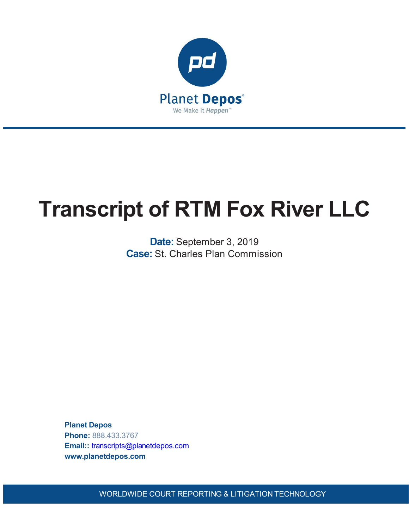

# **Transcript of RTM Fox River LLC**

**Date:** September 3, 2019 **Case:** St. Charles Plan Commission

**Planet Depos Phone:** 888.433.3767 **Email::** [transcripts@planetdepos.com](mailto:transcripts@planetdepos.com) **www.planetdepos.com**

WORLDWIDE COURT REPORTING & LITIGATION TECHNOLOGY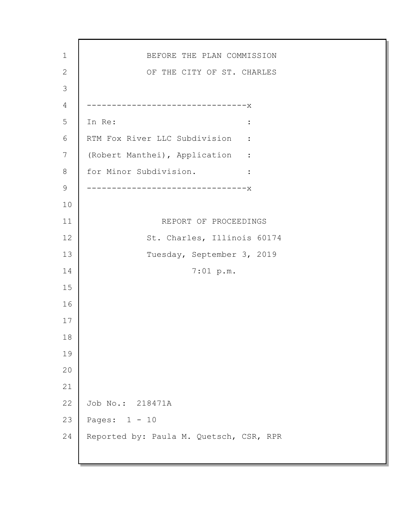BEFORE THE PLAN COMMISSION OF THE CITY OF ST. CHARLES --------------------------------x In Re:  $\qquad \qquad \blacksquare$ RTM Fox River LLC Subdivision : (Robert Manthei), Application : for Minor Subdivision. : --------------------------------x REPORT OF PROCEEDINGS St. Charles, Illinois 60174 Tuesday, September 3, 2019 7:01 p.m. Job No.: 218471A Pages: 1 - 10 Reported by: Paula M. Quetsch, CSR, RPR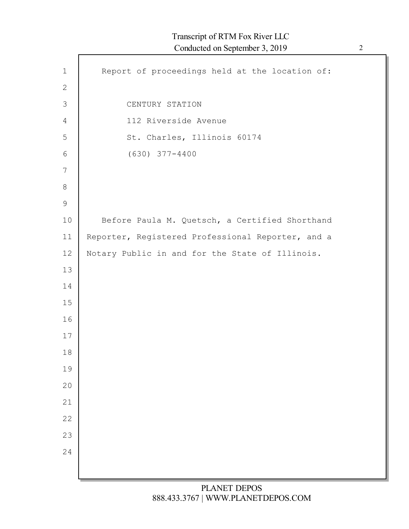| $\mathbf 1$    | Report of proceedings held at the location of:    |
|----------------|---------------------------------------------------|
| $\mathbf{2}$   |                                                   |
| $\mathfrak{Z}$ | CENTURY STATION                                   |
| $\overline{4}$ | 112 Riverside Avenue                              |
| 5              | St. Charles, Illinois 60174                       |
| 6              | $(630)$ $377 - 4400$                              |
| 7              |                                                   |
| $8\,$          |                                                   |
| $\mathsf 9$    |                                                   |
| 10             | Before Paula M. Quetsch, a Certified Shorthand    |
| 11             | Reporter, Registered Professional Reporter, and a |
| 12             | Notary Public in and for the State of Illinois.   |
| 13             |                                                   |
| 14             |                                                   |
| 15             |                                                   |
| 16             |                                                   |
| 17             |                                                   |
| 18             |                                                   |
| 19             |                                                   |
| 20             |                                                   |
| 21             |                                                   |
| 22<br>23       |                                                   |
| 24             |                                                   |
|                |                                                   |
|                |                                                   |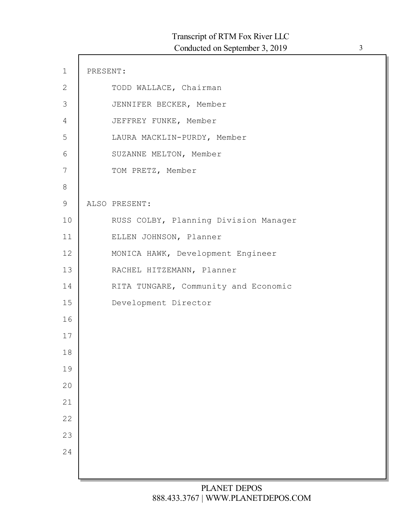| $\mathbf 1$    | PRESENT: |                                       |
|----------------|----------|---------------------------------------|
| $\mathbf{2}$   |          | TODD WALLACE, Chairman                |
| $\mathfrak{Z}$ |          | JENNIFER BECKER, Member               |
| $\overline{4}$ |          | JEFFREY FUNKE, Member                 |
| 5              |          | LAURA MACKLIN-PURDY, Member           |
| 6              |          | SUZANNE MELTON, Member                |
| $7\phantom{.}$ |          | TOM PRETZ, Member                     |
| $8\,$          |          |                                       |
| $\mathsf 9$    |          | ALSO PRESENT:                         |
| 10             |          | RUSS COLBY, Planning Division Manager |
| 11             |          | ELLEN JOHNSON, Planner                |
| 12             |          | MONICA HAWK, Development Engineer     |
| 13             |          | RACHEL HITZEMANN, Planner             |
| 14             |          | RITA TUNGARE, Community and Economic  |
| 15             |          | Development Director                  |
| 16             |          |                                       |
| 17             |          |                                       |
| 18             |          |                                       |
| 19             |          |                                       |
| 20             |          |                                       |
| 21             |          |                                       |
| 22             |          |                                       |
| 23             |          |                                       |
| 24             |          |                                       |
|                |          |                                       |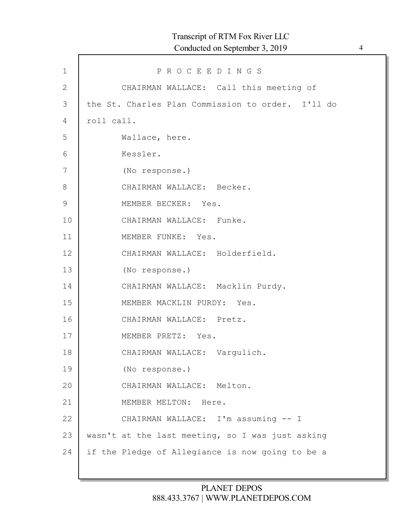| $\mathbf 1$    | PROCEEDINGS                                       |
|----------------|---------------------------------------------------|
| $\mathbf{2}$   | CHAIRMAN WALLACE: Call this meeting of            |
| $\mathfrak{Z}$ | the St. Charles Plan Commission to order. I'll do |
| 4              | roll call.                                        |
| 5              | Wallace, here.                                    |
| 6              | Kessler.                                          |
| 7              | (No response.)                                    |
| $8\,$          | CHAIRMAN WALLACE: Becker.                         |
| $\mathsf 9$    | MEMBER BECKER: Yes.                               |
| 10             | CHAIRMAN WALLACE: Funke.                          |
| 11             | MEMBER FUNKE: Yes.                                |
| 12             | CHAIRMAN WALLACE: Holderfield.                    |
| 13             | (No response.)                                    |
| 14             | CHAIRMAN WALLACE: Macklin Purdy.                  |
| 15             | MEMBER MACKLIN PURDY: Yes.                        |
| 16             | CHAIRMAN WALLACE: Pretz.                          |
| 17             | MEMBER PRETZ: Yes.                                |
| 18             | CHAIRMAN WALLACE: Vargulich.                      |
| 19             | (No response.)                                    |
| 20             | CHAIRMAN WALLACE: Melton.                         |
| 21             | MEMBER MELTON: Here.                              |
| 22             | CHAIRMAN WALLACE: I'm assuming -- I               |
| 23             | wasn't at the last meeting, so I was just asking  |
| 24             | if the Pledge of Allegiance is now going to be a  |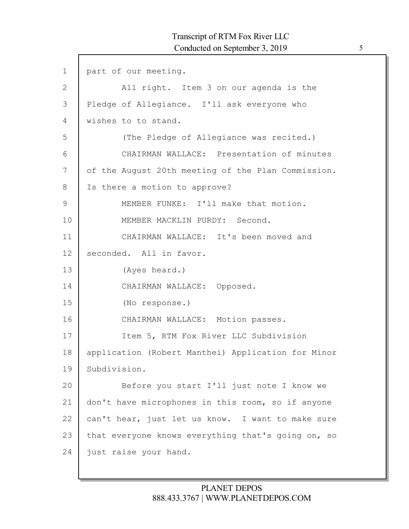| $\mathbf 1$   | part of our meeting.                               |
|---------------|----------------------------------------------------|
| $\mathbf{2}$  | All right. Item 3 on our agenda is the             |
| 3             | Pledge of Allegiance. I'll ask everyone who        |
| 4             | wishes to to stand.                                |
| 5             | (The Pledge of Allegiance was recited.)            |
| 6             | CHAIRMAN WALLACE: Presentation of minutes          |
| 7             | of the August 20th meeting of the Plan Commission. |
| $8\,$         | Is there a motion to approve?                      |
| $\mathcal{G}$ | MEMBER FUNKE: I'll make that motion.               |
| 10            | MEMBER MACKLIN PURDY: Second.                      |
| 11            | CHAIRMAN WALLACE: It's been moved and              |
| 12            | seconded. All in favor.                            |
| 13            | (Ayes heard.)                                      |
| 14            | CHAIRMAN WALLACE: Opposed.                         |
| 15            | (No response.)                                     |
| 16            | CHAIRMAN WALLACE: Motion passes.                   |
| 17            | Item 5, RTM Fox River LLC Subdivision              |
| 18            | application (Robert Manthei) Application for Minor |
| 19            | Subdivision.                                       |
| 20            | Before you start I'll just note I know we          |
| 21            | don't have microphones in this room, so if anyone  |
| 22            | can't hear, just let us know. I want to make sure  |
| 23            | that everyone knows everything that's going on, so |
| 24            | just raise your hand.                              |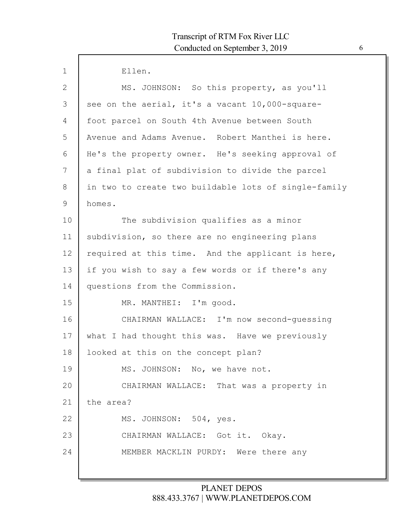| $\mathbf{1}$ | Ellen.                                               |
|--------------|------------------------------------------------------|
| 2            | MS. JOHNSON: So this property, as you'll             |
| 3            | see on the aerial, it's a vacant 10,000-square-      |
| 4            | foot parcel on South 4th Avenue between South        |
| 5            | Avenue and Adams Avenue. Robert Manthei is here.     |
| 6            | He's the property owner. He's seeking approval of    |
| 7            | a final plat of subdivision to divide the parcel     |
| 8            | in two to create two buildable lots of single-family |
| 9            | homes.                                               |
| 10           | The subdivision qualifies as a minor                 |
| 11           | subdivision, so there are no engineering plans       |
| 12           | required at this time. And the applicant is here,    |
| 13           | if you wish to say a few words or if there's any     |
| 14           | questions from the Commission.                       |
| 15           | MR. MANTHEI: I'm good.                               |
| 16           | CHAIRMAN WALLACE: I'm now second-quessing            |
| 17           | what I had thought this was. Have we previously      |
| 18           | looked at this on the concept plan?                  |
| 19           | MS. JOHNSON: No, we have not.                        |
| 20           | CHAIRMAN WALLACE: That was a property in             |
| 21           | the area?                                            |
| 22           | MS. JOHNSON: 504, yes.                               |
| 23           | CHAIRMAN WALLACE: Got it. Okay.                      |
| 24           | MEMBER MACKLIN PURDY: Were there any                 |
|              |                                                      |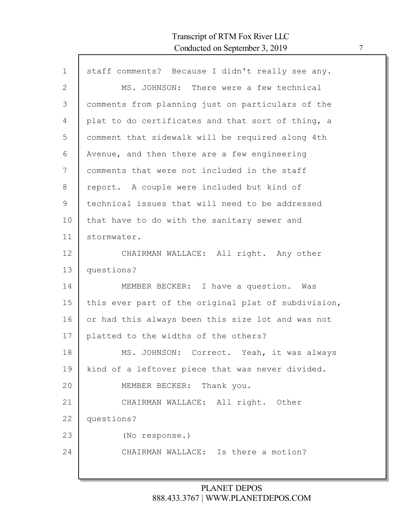| $\mathbf 1$    | staff comments? Because I didn't really see any.    |
|----------------|-----------------------------------------------------|
| $\overline{2}$ | MS. JOHNSON: There were a few technical             |
| 3              | comments from planning just on particulars of the   |
| 4              | plat to do certificates and that sort of thing, a   |
| 5              | comment that sidewalk will be required along 4th    |
| 6              | Avenue, and then there are a few engineering        |
| 7              | comments that were not included in the staff        |
| 8              | report. A couple were included but kind of          |
| 9              | technical issues that will need to be addressed     |
| 10             | that have to do with the sanitary sewer and         |
| 11             | stormwater.                                         |
| 12             | CHAIRMAN WALLACE: All right. Any other              |
| 13             | questions?                                          |
| 14             | MEMBER BECKER: I have a question. Was               |
| 15             | this ever part of the original plat of subdivision, |
| 16             | or had this always been this size lot and was not   |
| 17             | platted to the widths of the others?                |
| 18             | MS. JOHNSON: Correct. Yeah, it was always           |
| 19             | kind of a leftover piece that was never divided.    |
| 20             | MEMBER BECKER: Thank you.                           |
| 21             | CHAIRMAN WALLACE: All right. Other                  |
| 22             | questions?                                          |
| 23             | (No response.)                                      |
| 24             | CHAIRMAN WALLACE: Is there a motion?                |
|                |                                                     |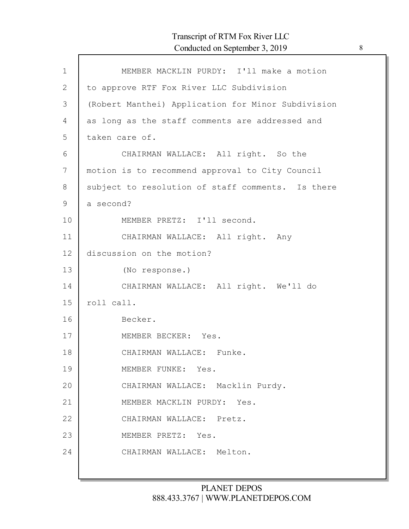# Transcript of RTM Fox River LLC Conducted on September 3, 2019 8

| $\mathbf{1}$ | MEMBER MACKLIN PURDY: I'll make a motion           |
|--------------|----------------------------------------------------|
| $\mathbf{2}$ | to approve RTF Fox River LLC Subdivision           |
| 3            | (Robert Manthei) Application for Minor Subdivision |
| 4            | as long as the staff comments are addressed and    |
| 5            | taken care of.                                     |
| 6            | CHAIRMAN WALLACE: All right. So the                |
| 7            | motion is to recommend approval to City Council    |
| 8            | subject to resolution of staff comments. Is there  |
| $\mathsf 9$  | a second?                                          |
| 10           | MEMBER PRETZ: I'll second.                         |
| 11           | CHAIRMAN WALLACE: All right. Any                   |
| 12           | discussion on the motion?                          |
| 13           | (No response.)                                     |
| 14           | CHAIRMAN WALLACE: All right. We'll do              |
| 15           | roll call.                                         |
| 16           | Becker.                                            |
| 17           | MEMBER BECKER: Yes.                                |
| 18           | CHAIRMAN WALLACE: Funke.                           |
| 19           | MEMBER FUNKE: Yes.                                 |
| 20           | CHAIRMAN WALLACE: Macklin Purdy.                   |
| 21           | MEMBER MACKLIN PURDY: Yes.                         |
| 22           | CHAIRMAN WALLACE: Pretz.                           |
| 23           | MEMBER PRETZ: Yes.                                 |
| 24           | CHAIRMAN WALLACE: Melton.                          |
|              |                                                    |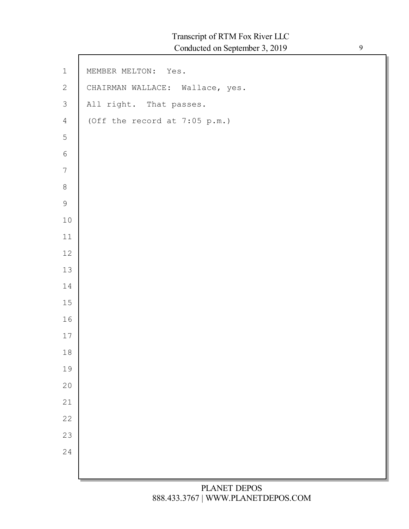$\mathsf{l}$ 

| $\,1\,$          | MEMBER MELTON: Yes.             |
|------------------|---------------------------------|
| $\sqrt{2}$       | CHAIRMAN WALLACE: Wallace, yes. |
| $\mathfrak{Z}$   | All right. That passes.         |
| $\overline{4}$   | (Off the record at $7:05$ p.m.) |
| $\mathsf S$      |                                 |
| $\sqrt{6}$       |                                 |
| $\boldsymbol{7}$ |                                 |
| $\,8\,$          |                                 |
| $\mathcal{G}$    |                                 |
| $10$             |                                 |
| $11\,$           |                                 |
| $12\,$           |                                 |
| $13\,$           |                                 |
| $1\,4$           |                                 |
| $1\,5$           |                                 |
| $16\,$           |                                 |
| $17$             |                                 |
| $1\,8$           |                                 |
| 19               |                                 |
| $20$             |                                 |
| 21               |                                 |
| 22               |                                 |
| 23               |                                 |
| 24               |                                 |
|                  |                                 |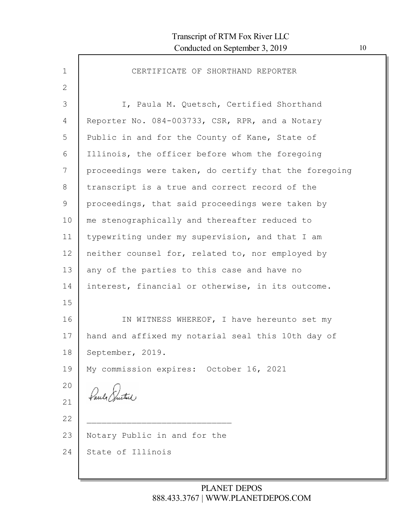| $\mathbf 1$     | CERTIFICATE OF SHORTHAND REPORTER                     |
|-----------------|-------------------------------------------------------|
| $\mathbf{2}$    |                                                       |
| 3               | I, Paula M. Quetsch, Certified Shorthand              |
| 4               | Reporter No. 084-003733, CSR, RPR, and a Notary       |
| 5               | Public in and for the County of Kane, State of        |
| 6               | Illinois, the officer before whom the foregoing       |
| 7               | proceedings were taken, do certify that the foregoing |
| 8               | transcript is a true and correct record of the        |
| 9               | proceedings, that said proceedings were taken by      |
| 10              | me stenographically and thereafter reduced to         |
| 11              | typewriting under my supervision, and that I am       |
| 12 <sup>°</sup> | neither counsel for, related to, nor employed by      |
| 13              | any of the parties to this case and have no           |
| 14              | interest, financial or otherwise, in its outcome.     |
| 15              |                                                       |
| 16              | IN WITNESS WHEREOF, I have hereunto set my            |
| 17              | hand and affixed my notarial seal this 10th day of    |
| 18              | September, 2019.                                      |
| 19              | My commission expires: October 16, 2021               |
| 20              |                                                       |
| 21              | Paul Suite                                            |
| 22              |                                                       |
| 23              | Notary Public in and for the                          |
| 24              | State of Illinois                                     |
|                 |                                                       |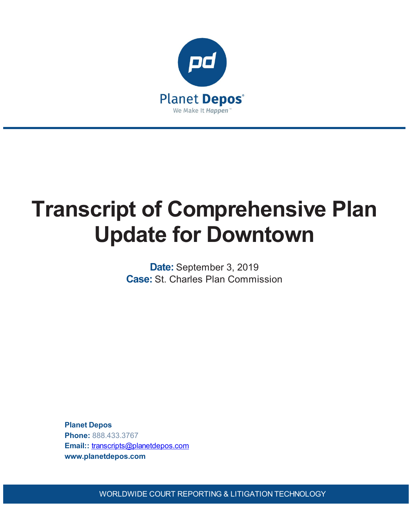

# **Transcript of Comprehensive Plan Update for Downtown**

**Date:** September 3, 2019 **Case:** St. Charles Plan Commission

**Planet Depos Phone:** 888.433.3767 **Email::** [transcripts@planetdepos.com](mailto:transcripts@planetdepos.com) **www.planetdepos.com**

WORLDWIDE COURT REPORTING & LITIGATION TECHNOLOGY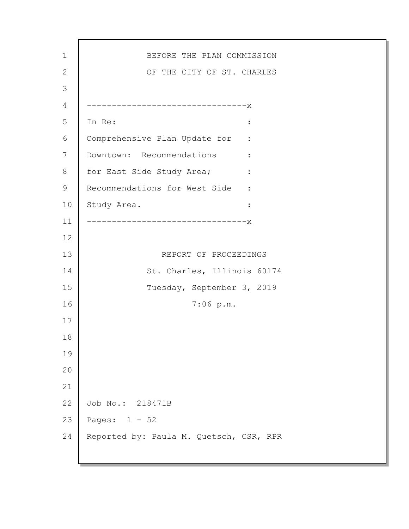1 2 3 4 5 6 7 8 9 10 11 12 13 14 15 16 17 18 19 20 21 22 23 24 BEFORE THE PLAN COMMISSION OF THE CITY OF ST. CHARLES --------------------------------x In Re:  $\qquad \qquad \blacksquare$ Comprehensive Plan Update for : Downtown: Recommendations : for East Side Study Area; : Recommendations for West Side : Study Area. : --------------------------------x REPORT OF PROCEEDINGS St. Charles, Illinois 60174 Tuesday, September 3, 2019 7:06 p.m. Job No.: 218471B Pages: 1 - 52 Reported by: Paula M. Quetsch, CSR, RPR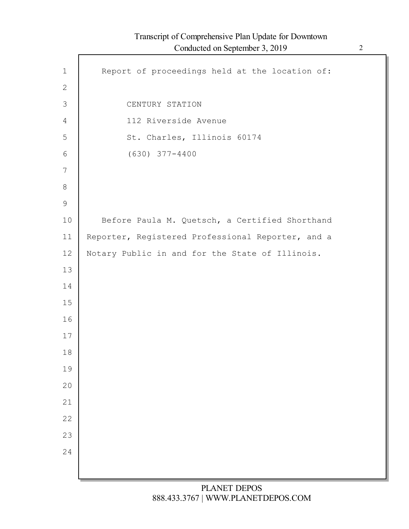|                | Conducted on September $\sigma$ , $2017$          |
|----------------|---------------------------------------------------|
| $\mathbf 1$    | Report of proceedings held at the location of:    |
| $\mathbf{2}$   |                                                   |
| $\mathfrak{Z}$ | CENTURY STATION                                   |
| 4              | 112 Riverside Avenue                              |
| 5              | St. Charles, Illinois 60174                       |
| 6              | $(630)$ $377 - 4400$                              |
| 7              |                                                   |
| $8\,$          |                                                   |
| $\mathcal{G}$  |                                                   |
| 10             | Before Paula M. Quetsch, a Certified Shorthand    |
| 11             | Reporter, Registered Professional Reporter, and a |
| 12             | Notary Public in and for the State of Illinois.   |
| 13             |                                                   |
| 14             |                                                   |
| 15             |                                                   |
| 16             |                                                   |
| 17             |                                                   |
| 18             |                                                   |
| 19             |                                                   |
| 20             |                                                   |
| 21             |                                                   |
| 22             |                                                   |
| 23             |                                                   |
| 24             |                                                   |
|                |                                                   |
|                |                                                   |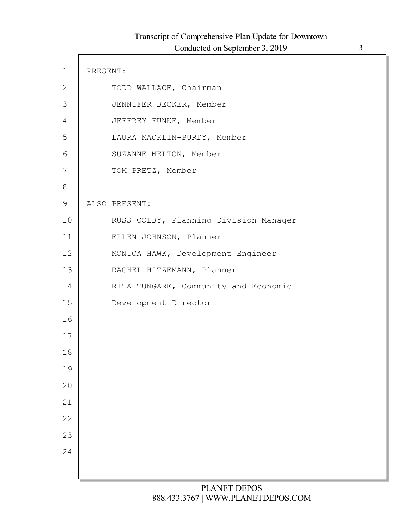| $\mathbf 1$  | PRESENT: |                                       |
|--------------|----------|---------------------------------------|
| $\mathbf{2}$ |          | TODD WALLACE, Chairman                |
| $\Im$        |          | JENNIFER BECKER, Member               |
| 4            |          | JEFFREY FUNKE, Member                 |
| 5            |          | LAURA MACKLIN-PURDY, Member           |
| 6            |          | SUZANNE MELTON, Member                |
| 7            |          | TOM PRETZ, Member                     |
| $8\,$        |          |                                       |
| $\mathsf 9$  |          | ALSO PRESENT:                         |
| 10           |          | RUSS COLBY, Planning Division Manager |
| 11           |          | ELLEN JOHNSON, Planner                |
| 12           |          | MONICA HAWK, Development Engineer     |
| 13           |          | RACHEL HITZEMANN, Planner             |
| 14           |          | RITA TUNGARE, Community and Economic  |
| 15           |          | Development Director                  |
| 16           |          |                                       |
| 17           |          |                                       |
| 18           |          |                                       |
| 19           |          |                                       |
| 20           |          |                                       |
| 21           |          |                                       |
| 22           |          |                                       |
| 23           |          |                                       |
| 24           |          |                                       |
|              |          |                                       |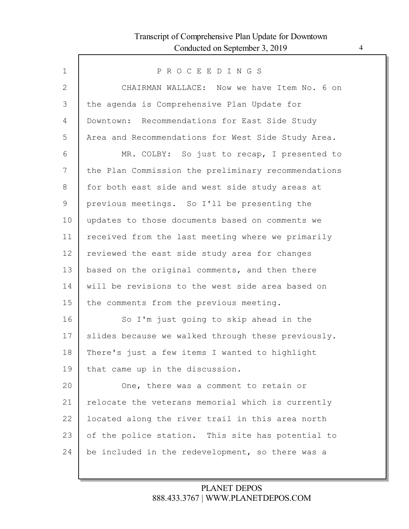Г

| PROCEEDINGS                                         |
|-----------------------------------------------------|
| CHAIRMAN WALLACE: Now we have Item No. 6 on         |
| the agenda is Comprehensive Plan Update for         |
| Downtown: Recommendations for East Side Study       |
| Area and Recommendations for West Side Study Area.  |
| MR. COLBY: So just to recap, I presented to         |
| the Plan Commission the preliminary recommendations |
| for both east side and west side study areas at     |
| previous meetings. So I'll be presenting the        |
| updates to those documents based on comments we     |
| received from the last meeting where we primarily   |
| reviewed the east side study area for changes       |
| based on the original comments, and then there      |
| will be revisions to the west side area based on    |
| the comments from the previous meeting.             |
| So I'm just going to skip ahead in the              |
| slides because we walked through these previously.  |
| There's just a few items I wanted to highlight      |
| that came up in the discussion.                     |
| One, there was a comment to retain or               |
| relocate the veterans memorial which is currently   |
| located along the river trail in this area north    |
| of the police station. This site has potential to   |
| be included in the redevelopment, so there was a    |
|                                                     |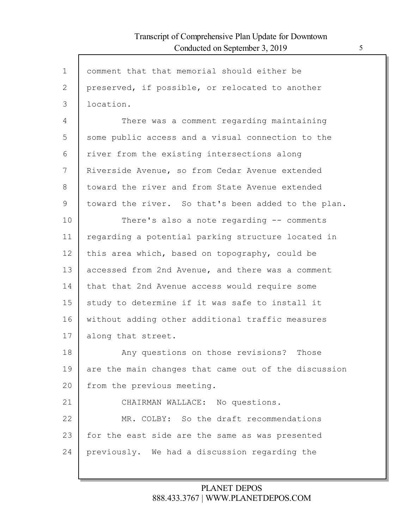Г

| $\mathbf 1$  | comment that that memorial should either be          |
|--------------|------------------------------------------------------|
| $\mathbf{2}$ | preserved, if possible, or relocated to another      |
| 3            | location.                                            |
| 4            | There was a comment regarding maintaining            |
| 5            | some public access and a visual connection to the    |
| 6            | river from the existing intersections along          |
| 7            | Riverside Avenue, so from Cedar Avenue extended      |
| 8            | toward the river and from State Avenue extended      |
| 9            | toward the river. So that's been added to the plan.  |
| 10           | There's also a note regarding -- comments            |
| 11           | regarding a potential parking structure located in   |
| 12           | this area which, based on topography, could be       |
| 13           | accessed from 2nd Avenue, and there was a comment    |
| 14           | that that 2nd Avenue access would require some       |
| 15           | study to determine if it was safe to install it      |
| 16           | without adding other additional traffic measures     |
| 17           | along that street.                                   |
| 18           | Any questions on those revisions? Those              |
| 19           | are the main changes that came out of the discussion |
| 20           | from the previous meeting.                           |
| 21           | CHAIRMAN WALLACE: No questions.                      |
| 22           | MR. COLBY: So the draft recommendations              |
| 23           | for the east side are the same as was presented      |
| 24           | previously. We had a discussion regarding the        |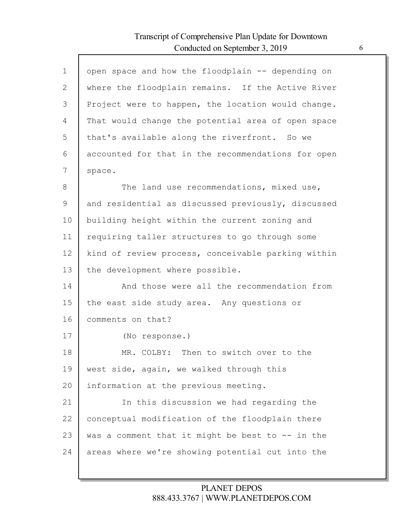Г

| $\mathbf 1$  | open space and how the floodplain -- depending on   |
|--------------|-----------------------------------------------------|
| $\mathbf{2}$ | where the floodplain remains. If the Active River   |
| 3            | Project were to happen, the location would change.  |
| 4            | That would change the potential area of open space  |
| 5            | that's available along the riverfront. So we        |
| 6            | accounted for that in the recommendations for open  |
| 7            | space.                                              |
| 8            | The land use recommendations, mixed use,            |
| 9            | and residential as discussed previously, discussed  |
| 10           | building height within the current zoning and       |
| 11           | requiring taller structures to go through some      |
| 12           | kind of review process, conceivable parking within  |
| 13           | the development where possible.                     |
| 14           | And those were all the recommendation from          |
| 15           | the east side study area. Any questions or          |
| 16           | comments on that?                                   |
| 17           | (No response.)                                      |
| 18           | MR. COLBY: Then to switch over to the               |
| 19           | west side, again, we walked through this            |
| 20           | information at the previous meeting.                |
| 21           | In this discussion we had regarding the             |
| 22           | conceptual modification of the floodplain there     |
| 23           | was a comment that it might be best to $-$ - in the |
| 24           | areas where we're showing potential cut into the    |
|              |                                                     |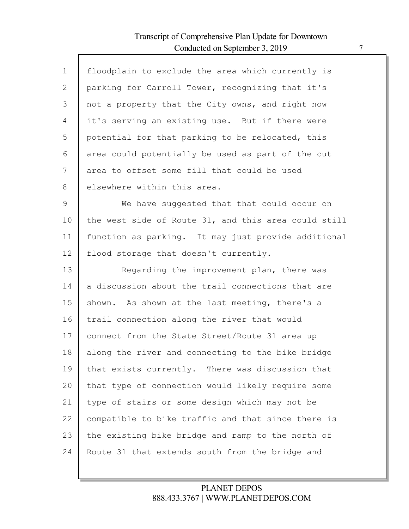Г

| $\mathbf{1}$ | floodplain to exclude the area which currently is    |
|--------------|------------------------------------------------------|
| 2            | parking for Carroll Tower, recognizing that it's     |
| 3            | not a property that the City owns, and right now     |
| 4            | it's serving an existing use. But if there were      |
| 5            | potential for that parking to be relocated, this     |
| 6            | area could potentially be used as part of the cut    |
| 7            | area to offset some fill that could be used          |
| 8            | elsewhere within this area.                          |
| 9            | We have suggested that that could occur on           |
| 10           | the west side of Route 31, and this area could still |
| 11           | function as parking. It may just provide additional  |
| 12           | flood storage that doesn't currently.                |
| 13           | Regarding the improvement plan, there was            |
| 14           | a discussion about the trail connections that are    |
| 15           | shown. As shown at the last meeting, there's a       |
| 16           | trail connection along the river that would          |
| 17           | connect from the State Street/Route 31 area up       |
| 18           | along the river and connecting to the bike bridge    |
| 19           | that exists currently. There was discussion that     |
| 20           | that type of connection would likely require some    |
| 21           | type of stairs or some design which may not be       |
| 22           | compatible to bike traffic and that since there is   |
| 23           | the existing bike bridge and ramp to the north of    |
| 24           | Route 31 that extends south from the bridge and      |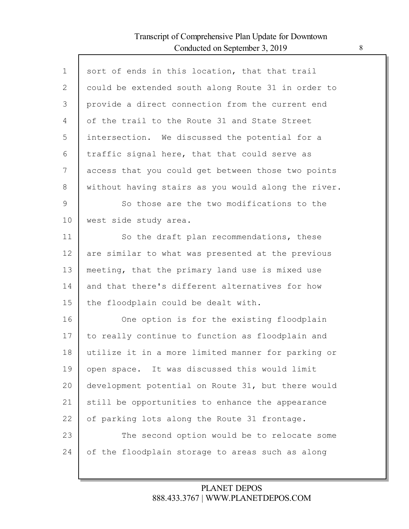Г

| $\mathbf 1$  | sort of ends in this location, that that trail      |
|--------------|-----------------------------------------------------|
| $\mathbf{2}$ | could be extended south along Route 31 in order to  |
| 3            | provide a direct connection from the current end    |
| 4            | of the trail to the Route 31 and State Street       |
| 5            | intersection. We discussed the potential for a      |
| 6            | traffic signal here, that that could serve as       |
| 7            | access that you could get between those two points  |
| 8            | without having stairs as you would along the river. |
| 9            | So those are the two modifications to the           |
| 10           | west side study area.                               |
| 11           | So the draft plan recommendations, these            |
| 12           | are similar to what was presented at the previous   |
| 13           | meeting, that the primary land use is mixed use     |
| 14           | and that there's different alternatives for how     |
| 15           | the floodplain could be dealt with.                 |
| 16           | One option is for the existing floodplain           |
| 17           | to really continue to function as floodplain and    |
| 18           | utilize it in a more limited manner for parking or  |
| 19           | open space. It was discussed this would limit       |
| 20           | development potential on Route 31, but there would  |
| 21           | still be opportunities to enhance the appearance    |
| 22           | of parking lots along the Route 31 frontage.        |
| 23           | The second option would be to relocate some         |
| 24           | of the floodplain storage to areas such as along    |
|              |                                                     |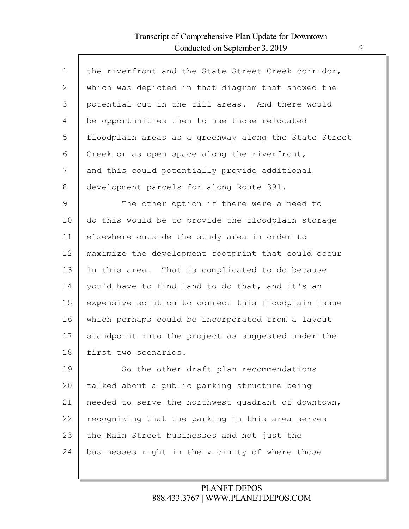| $\mathbf 1$    | the riverfront and the State Street Creek corridor,   |
|----------------|-------------------------------------------------------|
| $\overline{2}$ | which was depicted in that diagram that showed the    |
| 3              | potential cut in the fill areas. And there would      |
| 4              | be opportunities then to use those relocated          |
| 5              | floodplain areas as a greenway along the State Street |
| 6              | Creek or as open space along the riverfront,          |
| 7              | and this could potentially provide additional         |
| 8              | development parcels for along Route 391.              |
| $\mathcal{G}$  | The other option if there were a need to              |
| 10             | do this would be to provide the floodplain storage    |
| 11             | elsewhere outside the study area in order to          |
| 12             | maximize the development footprint that could occur   |
| 13             | in this area. That is complicated to do because       |
| 14             | you'd have to find land to do that, and it's an       |
| 15             | expensive solution to correct this floodplain issue   |
| 16             | which perhaps could be incorporated from a layout     |
| 17             | standpoint into the project as suggested under the    |
| 18             | first two scenarios.                                  |
| 19             | So the other draft plan recommendations               |
| 20             | talked about a public parking structure being         |
| 21             | needed to serve the northwest quadrant of downtown,   |
| 22             | recognizing that the parking in this area serves      |
| 23             | the Main Street businesses and not just the           |
| 24             | businesses right in the vicinity of where those       |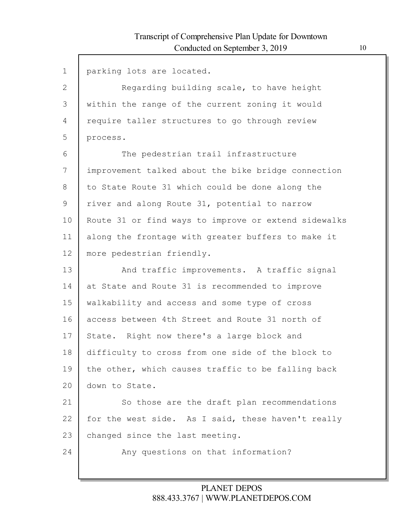| $\mathbf 1$   | parking lots are located.                            |
|---------------|------------------------------------------------------|
| $\mathbf{2}$  | Regarding building scale, to have height             |
| 3             | within the range of the current zoning it would      |
| 4             | require taller structures to go through review       |
| 5             | process.                                             |
| 6             | The pedestrian trail infrastructure                  |
| 7             | improvement talked about the bike bridge connection  |
| 8             | to State Route 31 which could be done along the      |
| $\mathcal{G}$ | river and along Route 31, potential to narrow        |
| 10            | Route 31 or find ways to improve or extend sidewalks |
| 11            | along the frontage with greater buffers to make it   |
| 12            | more pedestrian friendly.                            |
| 13            | And traffic improvements. A traffic signal           |
| 14            | at State and Route 31 is recommended to improve      |
| 15            | walkability and access and some type of cross        |
| 16            | access between 4th Street and Route 31 north of      |
| 17            | State. Right now there's a large block and           |
| 18            | difficulty to cross from one side of the block to    |
| 19            | the other, which causes traffic to be falling back   |
| 20            | down to State.                                       |
| 21            | So those are the draft plan recommendations          |
| 22            | for the west side. As I said, these haven't really   |
| 23            | changed since the last meeting.                      |
| 24            | Any questions on that information?                   |
|               |                                                      |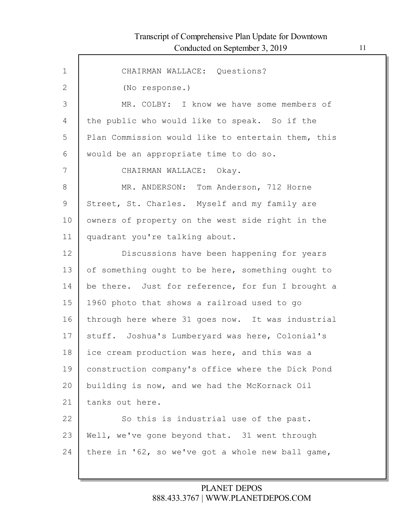Г

| $\mathbf{1}$ | CHAIRMAN WALLACE: Questions?                       |
|--------------|----------------------------------------------------|
| $\mathbf{2}$ | (No response.)                                     |
| 3            | MR. COLBY: I know we have some members of          |
| 4            | the public who would like to speak. So if the      |
| 5            | Plan Commission would like to entertain them, this |
| 6            | would be an appropriate time to do so.             |
| 7            | CHAIRMAN WALLACE: Okay.                            |
| 8            | MR. ANDERSON: Tom Anderson, 712 Horne              |
| 9            | Street, St. Charles. Myself and my family are      |
| 10           | owners of property on the west side right in the   |
| 11           | quadrant you're talking about.                     |
| 12           | Discussions have been happening for years          |
| 13           | of something ought to be here, something ought to  |
| 14           | be there. Just for reference, for fun I brought a  |
| 15           | 1960 photo that shows a railroad used to go        |
| 16           | through here where 31 goes now. It was industrial  |
| 17           | stuff. Joshua's Lumberyard was here, Colonial's    |
| 18           | ice cream production was here, and this was a      |
| 19           | construction company's office where the Dick Pond  |
| 20           | building is now, and we had the McKornack Oil      |
| 21           | tanks out here.                                    |
| 22           | So this is industrial use of the past.             |
| 23           | Well, we've gone beyond that. 31 went through      |
| 24           | there in '62, so we've got a whole new ball game,  |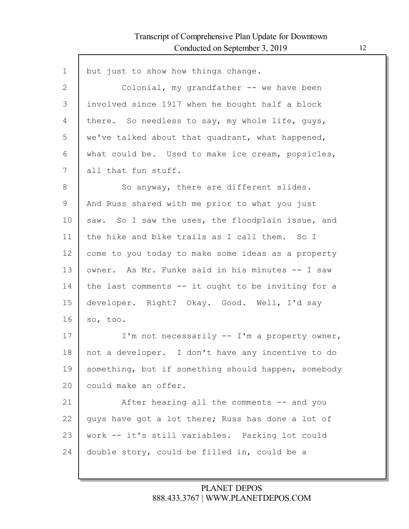Г

| $\mathbf 1$ | but just to show how things change.                 |
|-------------|-----------------------------------------------------|
| 2           | Colonial, my grandfather -- we have been            |
| 3           | involved since 1917 when he bought half a block     |
| 4           | there. So needless to say, my whole life, guys,     |
| 5           | we've talked about that quadrant, what happened,    |
| 6           | what could be. Used to make ice cream, popsicles,   |
| 7           | all that fun stuff.                                 |
| 8           | So anyway, there are different slides.              |
| 9           | And Russ shared with me prior to what you just      |
| 10          | saw. So I saw the uses, the floodplain issue, and   |
| 11          | the hike and bike trails as I call them. So I       |
| 12          | come to you today to make some ideas as a property  |
| 13          | owner. As Mr. Funke said in his minutes -- I saw    |
| 14          | the last comments -- it ought to be inviting for a  |
| 15          | developer. Right? Okay. Good. Well, I'd say         |
| 16          | so, too.                                            |
| 17          | I'm not necessarily -- I'm a property owner,        |
| 18          | not a developer. I don't have any incentive to do   |
| 19          | something, but if something should happen, somebody |
| 20          | could make an offer.                                |
| 21          | After hearing all the comments -- and you           |
| 22          | guys have got a lot there; Russ has done a lot of   |
| 23          | work -- it's still variables. Parking lot could     |
| 24          | double story, could be filled in, could be a        |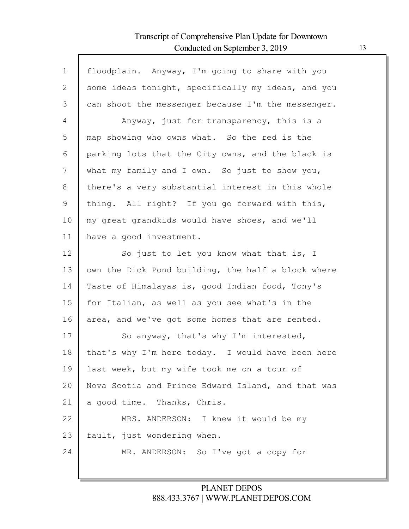Г

| floodplain. Anyway, I'm going to share with you    |
|----------------------------------------------------|
| some ideas tonight, specifically my ideas, and you |
| can shoot the messenger because I'm the messenger. |
| Anyway, just for transparency, this is a           |
| map showing who owns what. So the red is the       |
| parking lots that the City owns, and the black is  |
| what my family and I own. So just to show you,     |
| there's a very substantial interest in this whole  |
| thing. All right? If you go forward with this,     |
| my great grandkids would have shoes, and we'll     |
| have a good investment.                            |
| So just to let you know what that is, I            |
| own the Dick Pond building, the half a block where |
| Taste of Himalayas is, good Indian food, Tony's    |
| for Italian, as well as you see what's in the      |
| area, and we've got some homes that are rented.    |
| So anyway, that's why I'm interested,              |
| that's why I'm here today. I would have been here  |
| last week, but my wife took me on a tour of        |
| Nova Scotia and Prince Edward Island, and that was |
| a good time. Thanks, Chris.                        |
| MRS. ANDERSON: I knew it would be my               |
| fault, just wondering when.                        |
| MR. ANDERSON: So I've got a copy for               |
|                                                    |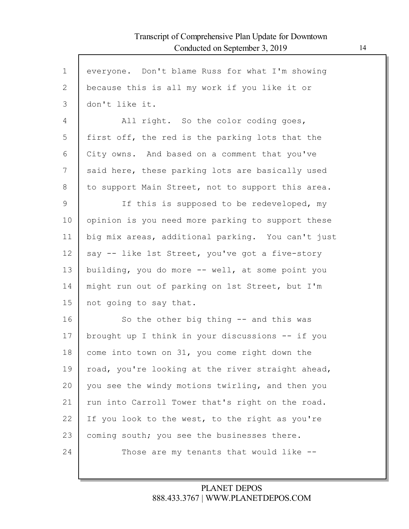| $\mathbf 1$ | everyone. Don't blame Russ for what I'm showing   |
|-------------|---------------------------------------------------|
| 2           | because this is all my work if you like it or     |
| 3           | don't like it.                                    |
| 4           | All right. So the color coding goes,              |
| 5           | first off, the red is the parking lots that the   |
| 6           | City owns. And based on a comment that you've     |
| 7           | said here, these parking lots are basically used  |
| 8           | to support Main Street, not to support this area. |
| 9           | If this is supposed to be redeveloped, my         |
| 10          | opinion is you need more parking to support these |
| 11          | big mix areas, additional parking. You can't just |
| 12          | say -- like 1st Street, you've got a five-story   |
| 13          | building, you do more -- well, at some point you  |
| 14          | might run out of parking on 1st Street, but I'm   |
| 15          | not going to say that.                            |
| 16          | So the other big thing $-$ and this was           |
| 17          | brought up I think in your discussions -- if you  |
| 18          | come into town on 31, you come right down the     |
| 19          | road, you're looking at the river straight ahead, |
| 20          | you see the windy motions twirling, and then you  |
| 21          | run into Carroll Tower that's right on the road.  |
| 22          | If you look to the west, to the right as you're   |
| 23          | coming south; you see the businesses there.       |
| 24          | Those are my tenants that would like $-$ -        |
|             |                                                   |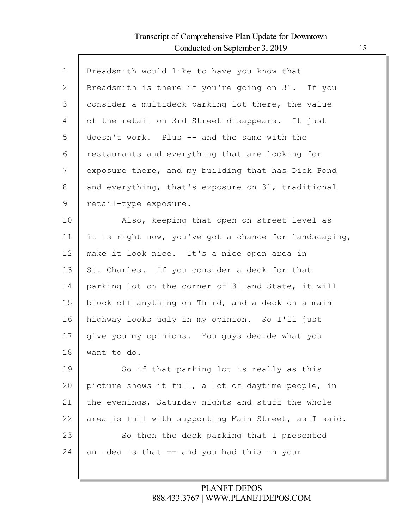Г

| $\mathbf{1}$ | Breadsmith would like to have you know that           |
|--------------|-------------------------------------------------------|
| 2            | Breadsmith is there if you're going on 31. If you     |
| 3            | consider a multideck parking lot there, the value     |
| 4            | of the retail on 3rd Street disappears. It just       |
| 5            | doesn't work. Plus -- and the same with the           |
| 6            | restaurants and everything that are looking for       |
| 7            | exposure there, and my building that has Dick Pond    |
| 8            | and everything, that's exposure on 31, traditional    |
| 9            | retail-type exposure.                                 |
| 10           | Also, keeping that open on street level as            |
| 11           | it is right now, you've got a chance for landscaping, |
| 12           | make it look nice. It's a nice open area in           |
| 13           | St. Charles. If you consider a deck for that          |
| 14           | parking lot on the corner of 31 and State, it will    |
| 15           | block off anything on Third, and a deck on a main     |
| 16           | highway looks ugly in my opinion. So I'll just        |
| 17           | give you my opinions. You guys decide what you        |
| 18           | want to do.                                           |
| 19           | So if that parking lot is really as this              |
| 20           | picture shows it full, a lot of daytime people, in    |
| 21           | the evenings, Saturday nights and stuff the whole     |
| 22           | area is full with supporting Main Street, as I said.  |
| 23           | So then the deck parking that I presented             |
| 24           | an idea is that -- and you had this in your           |
|              |                                                       |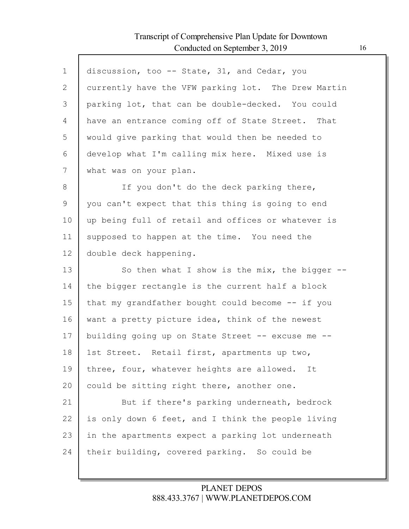Г

| $\mathbf 1$    | discussion, too -- State, 31, and Cedar, you        |
|----------------|-----------------------------------------------------|
| $\overline{2}$ | currently have the VFW parking lot. The Drew Martin |
| 3              | parking lot, that can be double-decked. You could   |
| 4              | have an entrance coming off of State Street. That   |
| 5              | would give parking that would then be needed to     |
| 6              | develop what I'm calling mix here. Mixed use is     |
| 7              | what was on your plan.                              |
| 8              | If you don't do the deck parking there,             |
| 9              | you can't expect that this thing is going to end    |
| 10             | up being full of retail and offices or whatever is  |
| 11             | supposed to happen at the time. You need the        |
| 12             | double deck happening.                              |
| 13             | So then what I show is the mix, the bigger $--$     |
| 14             | the bigger rectangle is the current half a block    |
| 15             | that my grandfather bought could become -- if you   |
| 16             | want a pretty picture idea, think of the newest     |
| 17             | building going up on State Street -- excuse me --   |
| 18             | 1st Street. Retail first, apartments up two,        |
| 19             | three, four, whatever heights are allowed. It       |
| 20             | could be sitting right there, another one.          |
| 21             | But if there's parking underneath, bedrock          |
| 22             | is only down 6 feet, and I think the people living  |
| 23             | in the apartments expect a parking lot underneath   |
| 24             | their building, covered parking. So could be        |
|                |                                                     |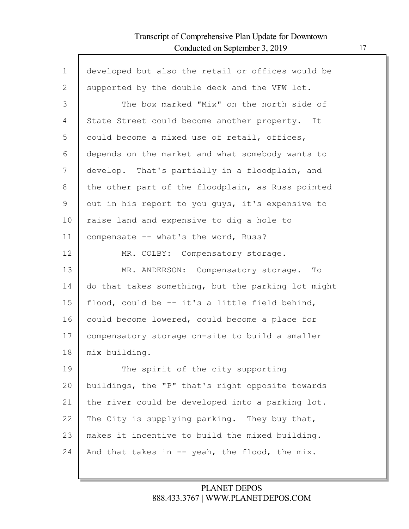$\Gamma$ 

| $\mathbf 1$    | developed but also the retail or offices would be  |
|----------------|----------------------------------------------------|
| $\overline{2}$ | supported by the double deck and the VFW lot.      |
| 3              | The box marked "Mix" on the north side of          |
| 4              | State Street could become another property. It     |
| 5              | could become a mixed use of retail, offices,       |
| 6              | depends on the market and what somebody wants to   |
| 7              | develop. That's partially in a floodplain, and     |
| 8              | the other part of the floodplain, as Russ pointed  |
| 9              | out in his report to you guys, it's expensive to   |
| 10             | raise land and expensive to dig a hole to          |
| 11             | compensate -- what's the word, Russ?               |
| 12             | MR. COLBY: Compensatory storage.                   |
| 13             | MR. ANDERSON: Compensatory storage. To             |
| 14             | do that takes something, but the parking lot might |
| 15             | flood, could be -- it's a little field behind,     |
| 16             | could become lowered, could become a place for     |
| 17             | compensatory storage on-site to build a smaller    |
| 18             | mix building.                                      |
| 19             | The spirit of the city supporting                  |
| 20             | buildings, the "P" that's right opposite towards   |
| 21             | the river could be developed into a parking lot.   |
| 22             | The City is supplying parking. They buy that,      |
| 23             | makes it incentive to build the mixed building.    |
| 24             | And that takes in -- yeah, the flood, the mix.     |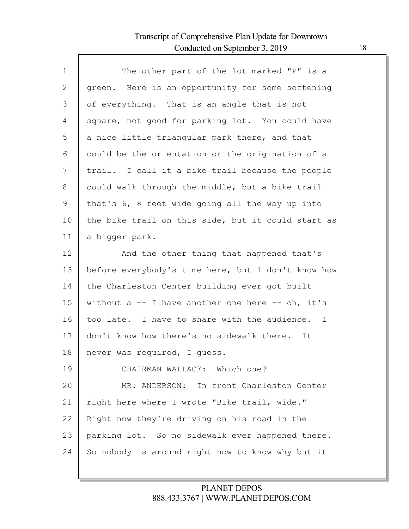$\Gamma$ 

| $\mathbf 1$ | The other part of the lot marked "P" is a          |
|-------------|----------------------------------------------------|
| 2           | green. Here is an opportunity for some softening   |
| 3           | of everything. That is an angle that is not        |
| 4           | square, not good for parking lot. You could have   |
| 5           | a nice little triangular park there, and that      |
| 6           | could be the orientation or the origination of a   |
| 7           | trail. I call it a bike trail because the people   |
| 8           | could walk through the middle, but a bike trail    |
| 9           | that's 6, 8 feet wide going all the way up into    |
| 10          | the bike trail on this side, but it could start as |
| 11          | a bigger park.                                     |
| 12          | And the other thing that happened that's           |
| 13          | before everybody's time here, but I don't know how |
| 14          | the Charleston Center building ever got built      |
| 15          | without $a - I$ have another one here $-$ oh, it's |
| 16          | too late. I have to share with the audience. I     |
| 17          | don't know how there's no sidewalk there. It       |
| 18          | never was required, I guess.                       |
| 19          | CHAIRMAN WALLACE: Which one?                       |
| 20          | MR. ANDERSON: In front Charleston Center           |
| 21          | right here where I wrote "Bike trail, wide."       |
| 22          | Right now they're driving on his road in the       |
| 23          | parking lot. So no sidewalk ever happened there.   |
| 24          | So nobody is around right now to know why but it   |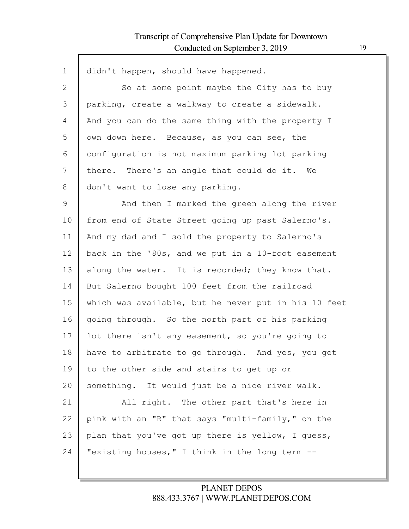Г

| $\mathbf 1$  | didn't happen, should have happened.                 |
|--------------|------------------------------------------------------|
|              |                                                      |
| $\mathbf{2}$ | So at some point maybe the City has to buy           |
| 3            | parking, create a walkway to create a sidewalk.      |
| 4            | And you can do the same thing with the property I    |
| 5            | own down here. Because, as you can see, the          |
| 6            | configuration is not maximum parking lot parking     |
| 7            | there. There's an angle that could do it. We         |
| 8            | don't want to lose any parking.                      |
| $\mathsf 9$  | And then I marked the green along the river          |
| 10           | from end of State Street going up past Salerno's.    |
| 11           | And my dad and I sold the property to Salerno's      |
| 12           | back in the '80s, and we put in a 10-foot easement   |
| 13           | along the water. It is recorded; they know that.     |
| 14           | But Salerno bought 100 feet from the railroad        |
| 15           | which was available, but he never put in his 10 feet |
| 16           | going through. So the north part of his parking      |
| 17           | lot there isn't any easement, so you're going to     |
| 18           | have to arbitrate to go through. And yes, you get    |
| 19           | to the other side and stairs to get up or            |
| 20           | something. It would just be a nice river walk.       |
| 21           | All right. The other part that's here in             |
| 22           | pink with an "R" that says "multi-family," on the    |
| 23           | plan that you've got up there is yellow, I guess,    |
| 24           | "existing houses," I think in the long term --       |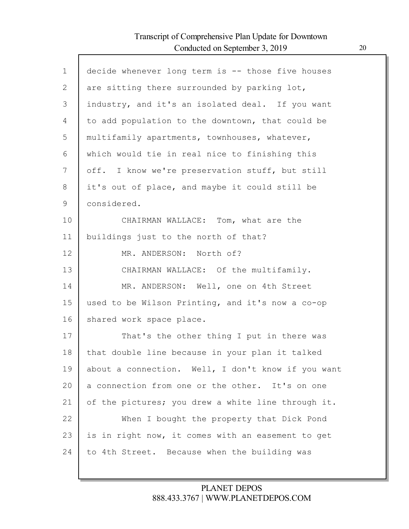I

| $\mathbf 1$ | decide whenever long term is -- those five houses  |
|-------------|----------------------------------------------------|
| 2           | are sitting there surrounded by parking lot,       |
| 3           | industry, and it's an isolated deal. If you want   |
| 4           | to add population to the downtown, that could be   |
| 5           | multifamily apartments, townhouses, whatever,      |
| 6           | which would tie in real nice to finishing this     |
| 7           | off. I know we're preservation stuff, but still    |
| 8           | it's out of place, and maybe it could still be     |
| 9           | considered.                                        |
| 10          | CHAIRMAN WALLACE: Tom, what are the                |
| 11          | buildings just to the north of that?               |
| 12          | MR. ANDERSON: North of?                            |
| 13          | CHAIRMAN WALLACE: Of the multifamily.              |
| 14          | MR. ANDERSON: Well, one on 4th Street              |
| 15          | used to be Wilson Printing, and it's now a co-op   |
| 16          | shared work space place.                           |
| 17          | That's the other thing I put in there was          |
| 18          | that double line because in your plan it talked    |
| 19          | about a connection. Well, I don't know if you want |
| 20          | a connection from one or the other. It's on one    |
| 21          | of the pictures; you drew a white line through it. |
| 22          | When I bought the property that Dick Pond          |
| 23          | is in right now, it comes with an easement to get  |
| 24          | to 4th Street. Because when the building was       |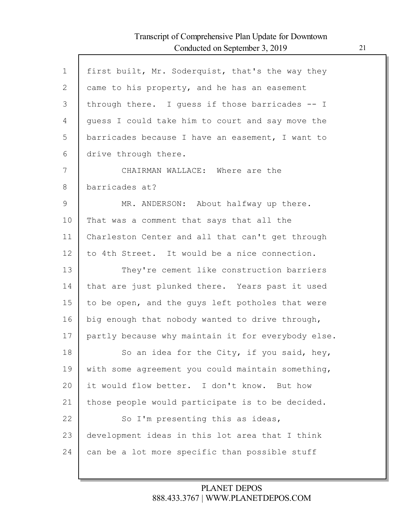Г

| $\mathbf{1}$ | first built, Mr. Soderquist, that's the way they   |
|--------------|----------------------------------------------------|
| $\mathbf{2}$ | came to his property, and he has an easement       |
| 3            | through there. I quess if those barricades -- I    |
| 4            | guess I could take him to court and say move the   |
| 5            | barricades because I have an easement, I want to   |
| 6            | drive through there.                               |
| 7            | CHAIRMAN WALLACE: Where are the                    |
| 8            | barricades at?                                     |
| 9            | MR. ANDERSON: About halfway up there.              |
| 10           | That was a comment that says that all the          |
| 11           | Charleston Center and all that can't get through   |
| 12           | to 4th Street. It would be a nice connection.      |
| 13           | They're cement like construction barriers          |
| 14           | that are just plunked there. Years past it used    |
| 15           | to be open, and the guys left potholes that were   |
| 16           | big enough that nobody wanted to drive through,    |
| 17           | partly because why maintain it for everybody else. |
| 18           | So an idea for the City, if you said, hey,         |
| 19           | with some agreement you could maintain something,  |
| 20           | it would flow better. I don't know. But how        |
| 21           | those people would participate is to be decided.   |
| 22           | So I'm presenting this as ideas,                   |
| 23           | development ideas in this lot area that I think    |
| 24           | can be a lot more specific than possible stuff     |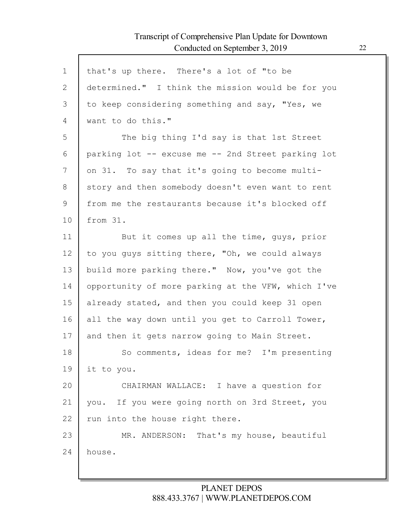| $\mathbf 1$    | that's up there. There's a lot of "to be           |
|----------------|----------------------------------------------------|
| $\overline{2}$ | determined." I think the mission would be for you  |
| 3              | to keep considering something and say, "Yes, we    |
| 4              | want to do this."                                  |
| 5              | The big thing I'd say is that 1st Street           |
| 6              | parking lot -- excuse me -- 2nd Street parking lot |
| 7              | on 31. To say that it's going to become multi-     |
| 8              | story and then somebody doesn't even want to rent  |
| 9              | from me the restaurants because it's blocked off   |
| 10             | from 31.                                           |
| 11             | But it comes up all the time, guys, prior          |
| 12             | to you guys sitting there, "Oh, we could always    |
| 13             | build more parking there." Now, you've got the     |
| 14             | opportunity of more parking at the VFW, which I've |
| 15             | already stated, and then you could keep 31 open    |
| 16             | all the way down until you get to Carroll Tower,   |
| 17             | and then it gets narrow going to Main Street.      |
| 18             | So comments, ideas for me? I'm presenting          |
| 19             | it to you.                                         |
| 20             | CHAIRMAN WALLACE: I have a question for            |
| 21             | you. If you were going north on 3rd Street, you    |
| 22             | run into the house right there.                    |
| 23             | MR. ANDERSON: That's my house, beautiful           |
| 24             | house.                                             |
|                |                                                    |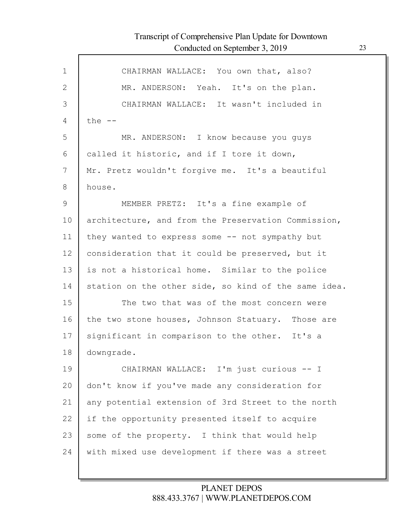| $\mathbf 1$  | CHAIRMAN WALLACE: You own that, also?                |
|--------------|------------------------------------------------------|
| $\mathbf{2}$ | MR. ANDERSON: Yeah. It's on the plan.                |
| 3            | CHAIRMAN WALLACE: It wasn't included in              |
| 4            | the $--$                                             |
| 5            | MR. ANDERSON: I know because you guys                |
| 6            | called it historic, and if I tore it down,           |
| 7            | Mr. Pretz wouldn't forgive me. It's a beautiful      |
| 8            | house.                                               |
| 9            | MEMBER PRETZ: It's a fine example of                 |
| 10           | architecture, and from the Preservation Commission,  |
| 11           | they wanted to express some -- not sympathy but      |
| 12           | consideration that it could be preserved, but it     |
| 13           | is not a historical home. Similar to the police      |
| 14           | station on the other side, so kind of the same idea. |
| 15           | The two that was of the most concern were            |
| 16           | the two stone houses, Johnson Statuary. Those are    |
| 17           | significant in comparison to the other. It's a       |
| 18           | downgrade.                                           |
| 19           | CHAIRMAN WALLACE: I'm just curious -- I              |
| 20           | don't know if you've made any consideration for      |
| 21           | any potential extension of 3rd Street to the north   |
| 22           | if the opportunity presented itself to acquire       |
| 23           | some of the property. I think that would help        |
| 24           | with mixed use development if there was a street     |
|              |                                                      |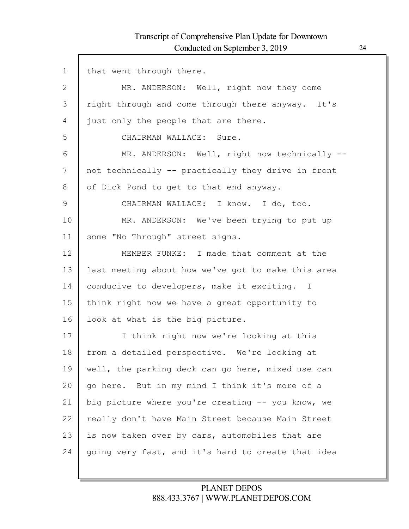Г

| $\mathbf 1$   | that went through there.                           |
|---------------|----------------------------------------------------|
| $\mathbf{2}$  | MR. ANDERSON: Well, right now they come            |
| 3             | right through and come through there anyway. It's  |
| 4             | just only the people that are there.               |
| 5             | CHAIRMAN WALLACE: Sure.                            |
| 6             | MR. ANDERSON: Well, right now technically --       |
| 7             | not technically -- practically they drive in front |
| 8             | of Dick Pond to get to that end anyway.            |
| $\mathcal{G}$ | CHAIRMAN WALLACE: I know. I do, too.               |
| 10            | MR. ANDERSON: We've been trying to put up          |
| 11            | some "No Through" street signs.                    |
| 12            | MEMBER FUNKE: I made that comment at the           |
| 13            | last meeting about how we've got to make this area |
| 14            | conducive to developers, make it exciting. I       |
| 15            | think right now we have a great opportunity to     |
| 16            | look at what is the big picture.                   |
| 17            | I think right now we're looking at this            |
| 18            | from a detailed perspective. We're looking at      |
| 19            | well, the parking deck can go here, mixed use can  |
| 20            | go here. But in my mind I think it's more of a     |
| 21            | big picture where you're creating -- you know, we  |
| 22            | really don't have Main Street because Main Street  |
| 23            | is now taken over by cars, automobiles that are    |
| 24            | going very fast, and it's hard to create that idea |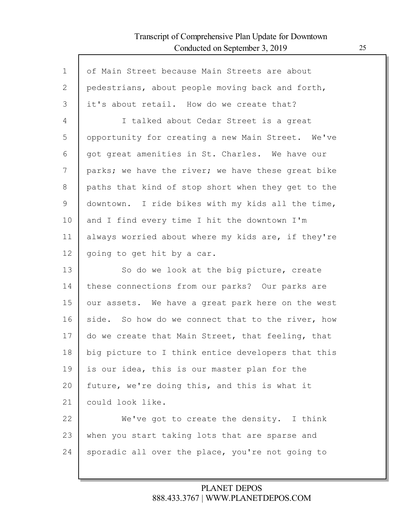Г

| $\mathbf{1}$ | of Main Street because Main Streets are about      |
|--------------|----------------------------------------------------|
| 2            | pedestrians, about people moving back and forth,   |
| 3            | it's about retail. How do we create that?          |
| 4            | I talked about Cedar Street is a great             |
| 5            | opportunity for creating a new Main Street. We've  |
| 6            | got great amenities in St. Charles. We have our    |
| 7            | parks; we have the river; we have these great bike |
| 8            | paths that kind of stop short when they get to the |
| 9            | downtown. I ride bikes with my kids all the time,  |
| 10           | and I find every time I hit the downtown I'm       |
| 11           | always worried about where my kids are, if they're |
| 12           | going to get hit by a car.                         |
| 13           | So do we look at the big picture, create           |
| 14           | these connections from our parks? Our parks are    |
| 15           | our assets. We have a great park here on the west  |
| 16           | side. So how do we connect that to the river, how  |
| 17           | do we create that Main Street, that feeling, that  |
| 18           | big picture to I think entice developers that this |
| 19           | is our idea, this is our master plan for the       |
| 20           | future, we're doing this, and this is what it      |
| 21           | could look like.                                   |
| 22           | We've got to create the density. I think           |
| 23           | when you start taking lots that are sparse and     |
| 24           | sporadic all over the place, you're not going to   |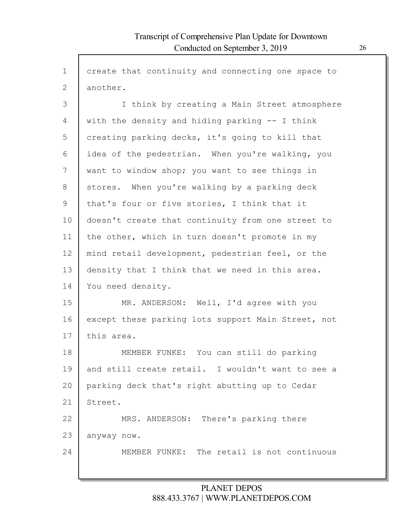| $\mathbf 1$ | create that continuity and connecting one space to |
|-------------|----------------------------------------------------|
| 2           | another.                                           |
| 3           | I think by creating a Main Street atmosphere       |
| 4           | with the density and hiding parking -- I think     |
| 5           | creating parking decks, it's going to kill that    |
| 6           | idea of the pedestrian. When you're walking, you   |
| 7           | want to window shop; you want to see things in     |
| 8           | stores. When you're walking by a parking deck      |
| 9           | that's four or five stories, I think that it       |
| 10          | doesn't create that continuity from one street to  |
| 11          | the other, which in turn doesn't promote in my     |
| 12          | mind retail development, pedestrian feel, or the   |
| 13          | density that I think that we need in this area.    |
| 14          | You need density.                                  |
| 15          | MR. ANDERSON: Well, I'd agree with you             |
| 16          | except these parking lots support Main Street, not |
| 17          | this area.                                         |
| 18          | MEMBER FUNKE: You can still do parking             |
| 19          | and still create retail. I wouldn't want to see a  |
| 20          | parking deck that's right abutting up to Cedar     |
| 21          | Street.                                            |
| 22          | MRS. ANDERSON: There's parking there               |
| 23          | anyway now.                                        |
| 24          | MEMBER FUNKE: The retail is not continuous         |
|             |                                                    |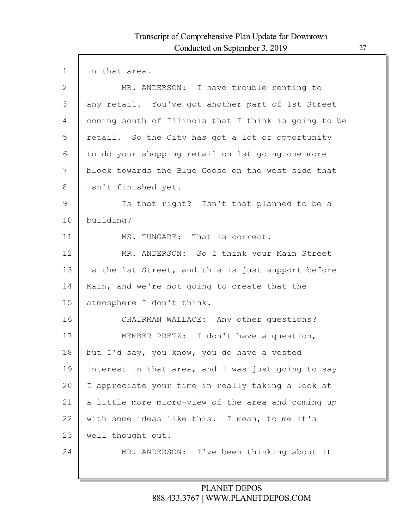$\Gamma$ 

| $\mathbf 1$  | in that area.                                        |
|--------------|------------------------------------------------------|
| $\mathbf{2}$ | MR. ANDERSON: I have trouble renting to              |
| 3            | any retail. You've got another part of 1st Street    |
| 4            | coming south of Illinois that I think is going to be |
| 5            | retail. So the City has got a lot of opportunity     |
| 6            | to do your shopping retail on 1st going one more     |
| 7            | block towards the Blue Goose on the west side that   |
| 8            | isn't finished yet.                                  |
| 9            | Is that right? Isn't that planned to be a            |
| 10           | building?                                            |
| 11           | MS. TUNGARE: That is correct.                        |
| 12           | MR. ANDERSON: So I think your Main Street            |
| 13           | is the 1st Street, and this is just support before   |
| 14           | Main, and we're not going to create that the         |
| 15           | atmosphere I don't think.                            |
| 16           | CHAIRMAN WALLACE: Any other questions?               |
| 17           | MEMBER PRETZ: I don't have a question,               |
| 18           | but I'd say, you know, you do have a vested          |
| 19           | interest in that area, and I was just going to say   |
| 20           | I appreciate your time in really taking a look at    |
| 21           | a little more micro-view of the area and coming up   |
| 22           | with some ideas like this. I mean, to me it's        |
| 23           | well thought out.                                    |
| 24           | MR. ANDERSON: I've been thinking about it            |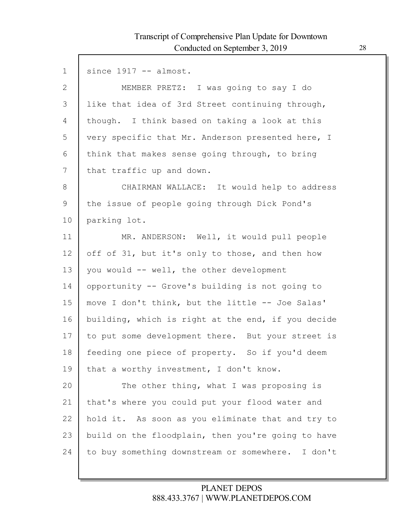$\Gamma$ 

| $\mathbf 1$  | since $1917 - -$ almost.                           |
|--------------|----------------------------------------------------|
| $\mathbf{2}$ | MEMBER PRETZ: I was going to say I do              |
| 3            | like that idea of 3rd Street continuing through,   |
| 4            | though. I think based on taking a look at this     |
| 5            | very specific that Mr. Anderson presented here, I  |
| 6            | think that makes sense going through, to bring     |
| 7            | that traffic up and down.                          |
| 8            | CHAIRMAN WALLACE: It would help to address         |
| 9            | the issue of people going through Dick Pond's      |
| 10           | parking lot.                                       |
| 11           | MR. ANDERSON: Well, it would pull people           |
| 12           | off of 31, but it's only to those, and then how    |
| 13           | you would -- well, the other development           |
| 14           | opportunity -- Grove's building is not going to    |
| 15           | move I don't think, but the little -- Joe Salas'   |
| 16           | building, which is right at the end, if you decide |
| 17           | to put some development there. But your street is  |
| 18           | feeding one piece of property. So if you'd deem    |
| 19           | that a worthy investment, I don't know.            |
| 20           | The other thing, what I was proposing is           |
| 21           | that's where you could put your flood water and    |
| 22           | hold it. As soon as you eliminate that and try to  |
| 23           | build on the floodplain, then you're going to have |
| 24           | to buy something downstream or somewhere. I don't  |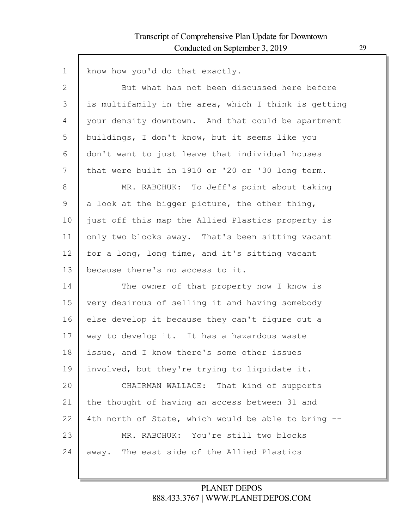Г

| $\mathbf 1$  | know how you'd do that exactly.                      |
|--------------|------------------------------------------------------|
| $\mathbf{2}$ | But what has not been discussed here before          |
| 3            | is multifamily in the area, which I think is getting |
| 4            | your density downtown. And that could be apartment   |
| 5            | buildings, I don't know, but it seems like you       |
| 6            | don't want to just leave that individual houses      |
| 7            | that were built in 1910 or '20 or '30 long term.     |
| 8            | MR. RABCHUK: To Jeff's point about taking            |
| 9            | a look at the bigger picture, the other thing,       |
| 10           | just off this map the Allied Plastics property is    |
| 11           | only two blocks away. That's been sitting vacant     |
| 12           | for a long, long time, and it's sitting vacant       |
| 13           | because there's no access to it.                     |
| 14           | The owner of that property now I know is             |
| 15           | very desirous of selling it and having somebody      |
| 16           | else develop it because they can't figure out a      |
| 17           | way to develop it. It has a hazardous waste          |
| 18           | issue, and I know there's some other issues          |
| 19           | involved, but they're trying to liquidate it.        |
| 20           | CHAIRMAN WALLACE: That kind of supports              |
| 21           | the thought of having an access between 31 and       |
| 22           | 4th north of State, which would be able to bring --  |
| 23           | MR. RABCHUK: You're still two blocks                 |
| 24           | away. The east side of the Allied Plastics           |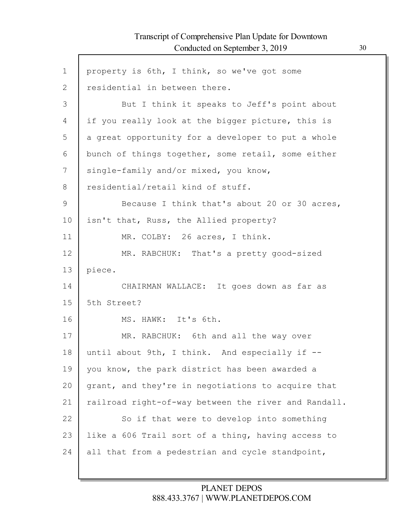Г

| $\mathbf 1$  | property is 6th, I think, so we've got some          |
|--------------|------------------------------------------------------|
| $\mathbf{2}$ | residential in between there.                        |
| 3            | But I think it speaks to Jeff's point about          |
| 4            | if you really look at the bigger picture, this is    |
| 5            | a great opportunity for a developer to put a whole   |
| 6            | bunch of things together, some retail, some either   |
| 7            | single-family and/or mixed, you know,                |
| 8            | residential/retail kind of stuff.                    |
| 9            | Because I think that's about 20 or 30 acres,         |
| 10           | isn't that, Russ, the Allied property?               |
| 11           | MR. COLBY: 26 acres, I think.                        |
| 12           | MR. RABCHUK: That's a pretty good-sized              |
| 13           | piece.                                               |
| 14           | CHAIRMAN WALLACE: It goes down as far as             |
| 15           | 5th Street?                                          |
| 16           | MS. HAWK: It's 6th.                                  |
| 17           | MR. RABCHUK: 6th and all the way over                |
| 18           | until about 9th, I think. And especially if --       |
| 19           | you know, the park district has been awarded a       |
| 20           | grant, and they're in negotiations to acquire that   |
| 21           | railroad right-of-way between the river and Randall. |
| 22           | So if that were to develop into something            |
| 23           | like a 606 Trail sort of a thing, having access to   |
| 24           | all that from a pedestrian and cycle standpoint,     |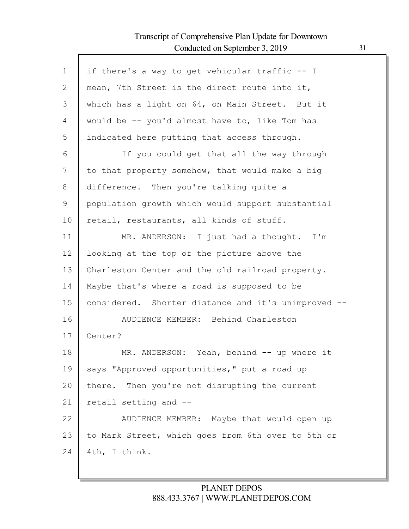| $\mathbf 1$ | if there's a way to get vehicular traffic -- I      |
|-------------|-----------------------------------------------------|
| 2           | mean, 7th Street is the direct route into it,       |
| 3           | which has a light on 64, on Main Street. But it     |
| 4           | would be -- you'd almost have to, like Tom has      |
| 5           | indicated here putting that access through.         |
| 6           | If you could get that all the way through           |
| 7           | to that property somehow, that would make a big     |
| 8           | difference. Then you're talking quite a             |
| 9           | population growth which would support substantial   |
| 10          | retail, restaurants, all kinds of stuff.            |
| 11          | MR. ANDERSON: I just had a thought. I'm             |
| 12          | looking at the top of the picture above the         |
| 13          | Charleston Center and the old railroad property.    |
| 14          | Maybe that's where a road is supposed to be         |
| 15          | considered. Shorter distance and it's unimproved -- |
| 16          | AUDIENCE MEMBER: Behind Charleston                  |
| 17          | Center?                                             |
| 18          | MR. ANDERSON: Yeah, behind -- up where it           |
| 19          | says "Approved opportunities," put a road up        |
| 20          | Then you're not disrupting the current<br>there.    |
| 21          | retail setting and --                               |
| 22          | AUDIENCE MEMBER: Maybe that would open up           |
| 23          | to Mark Street, which goes from 6th over to 5th or  |
| 24          | 4th, I think.                                       |
|             |                                                     |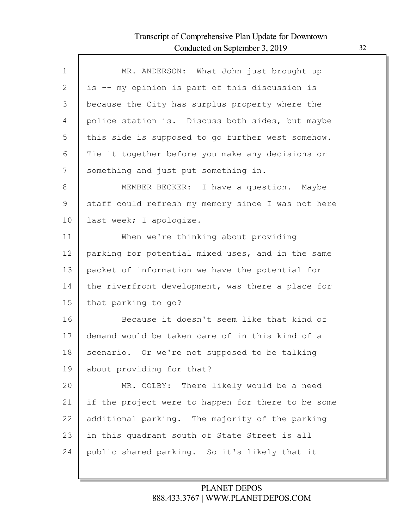Г

| $\mathbf 1$    | MR. ANDERSON: What John just brought up            |
|----------------|----------------------------------------------------|
| $\overline{2}$ | is -- my opinion is part of this discussion is     |
| 3              | because the City has surplus property where the    |
| 4              | police station is. Discuss both sides, but maybe   |
| 5              | this side is supposed to go further west somehow.  |
| 6              | Tie it together before you make any decisions or   |
| 7              | something and just put something in.               |
| 8              | MEMBER BECKER: I have a question. Maybe            |
| 9              | staff could refresh my memory since I was not here |
| 10             | last week; I apologize.                            |
| 11             | When we're thinking about providing                |
| 12             | parking for potential mixed uses, and in the same  |
| 13             | packet of information we have the potential for    |
| 14             | the riverfront development, was there a place for  |
| 15             | that parking to go?                                |
| 16             | Because it doesn't seem like that kind of          |
| 17             | demand would be taken care of in this kind of a    |
| 18             | scenario. Or we're not supposed to be talking      |
| 19             | about providing for that?                          |
| 20             | MR. COLBY: There likely would be a need            |
| 21             | if the project were to happen for there to be some |
| 22             | additional parking. The majority of the parking    |
| 23             | in this quadrant south of State Street is all      |
| 24             | public shared parking. So it's likely that it      |
|                |                                                    |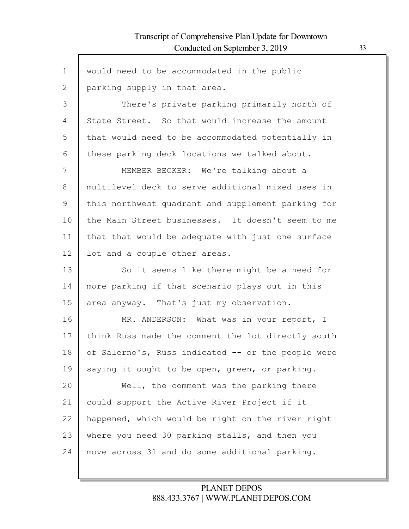Г

| $\mathbf 1$    | would need to be accommodated in the public        |
|----------------|----------------------------------------------------|
| $\overline{2}$ | parking supply in that area.                       |
| 3              | There's private parking primarily north of         |
| 4              | State Street. So that would increase the amount    |
| 5              | that would need to be accommodated potentially in  |
| 6              | these parking deck locations we talked about.      |
| 7              | MEMBER BECKER: We're talking about a               |
| 8              | multilevel deck to serve additional mixed uses in  |
| 9              | this northwest quadrant and supplement parking for |
| 10             | the Main Street businesses. It doesn't seem to me  |
| 11             | that that would be adequate with just one surface  |
| 12             | lot and a couple other areas.                      |
| 13             | So it seems like there might be a need for         |
| 14             | more parking if that scenario plays out in this    |
| 15             | area anyway. That's just my observation.           |
| 16             | MR. ANDERSON: What was in your report, I           |
| 17             | think Russ made the comment the lot directly south |
| 18             | of Salerno's, Russ indicated -- or the people were |
| 19             | saying it ought to be open, green, or parking.     |
| 20             | Well, the comment was the parking there            |
| 21             | could support the Active River Project if it       |
| 22             | happened, which would be right on the river right  |
| 23             | where you need 30 parking stalls, and then you     |
| 24             | move across 31 and do some additional parking.     |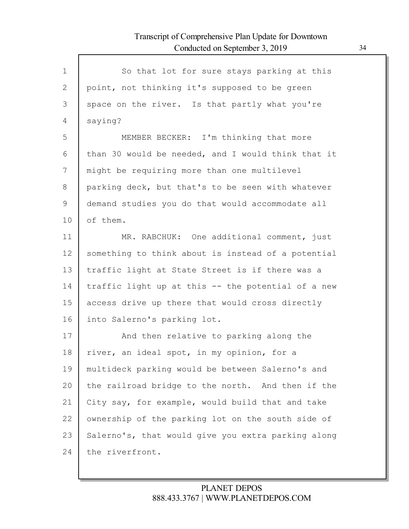| $\mathbf 1$               | So that lot for sure stays parking at this         |
|---------------------------|----------------------------------------------------|
| $\mathbf{2}^{\mathsf{I}}$ | point, not thinking it's supposed to be green      |
| 3                         | space on the river. Is that partly what you're     |
| 4                         | saying?                                            |
| 5                         | MEMBER BECKER: I'm thinking that more              |
| 6                         | than 30 would be needed, and I would think that it |
| 7                         | might be requiring more than one multilevel        |
| 8                         | parking deck, but that's to be seen with whatever  |
| 9                         | demand studies you do that would accommodate all   |
| 10                        | of them.                                           |
| 11                        | MR. RABCHUK: One additional comment, just          |
| 12                        | something to think about is instead of a potential |
| 13                        | traffic light at State Street is if there was a    |
| 14                        | traffic light up at this -- the potential of a new |
| 15                        | access drive up there that would cross directly    |
| 16                        | into Salerno's parking lot.                        |
| 17                        | And then relative to parking along the             |
| 18                        | river, an ideal spot, in my opinion, for a         |
| 19                        | multideck parking would be between Salerno's and   |
| 20                        | the railroad bridge to the north. And then if the  |
| 21                        | City say, for example, would build that and take   |
| 22                        | ownership of the parking lot on the south side of  |
| 23                        | Salerno's, that would give you extra parking along |
| 24                        | the riverfront.                                    |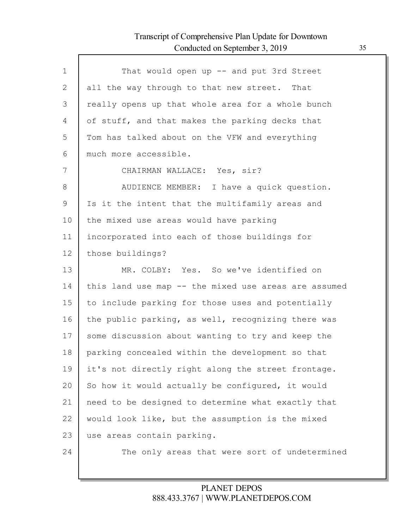| $\mathbf 1$    | That would open up -- and put 3rd Street             |
|----------------|------------------------------------------------------|
| $\overline{2}$ | all the way through to that new street. That         |
| 3              | really opens up that whole area for a whole bunch    |
| 4              | of stuff, and that makes the parking decks that      |
| 5              | Tom has talked about on the VFW and everything       |
| 6              | much more accessible.                                |
| 7              | CHAIRMAN WALLACE: Yes, sir?                          |
| 8              | AUDIENCE MEMBER: I have a quick question.            |
| 9              | Is it the intent that the multifamily areas and      |
| 10             | the mixed use areas would have parking               |
| 11             | incorporated into each of those buildings for        |
| 12             | those buildings?                                     |
| 13             | MR. COLBY: Yes. So we've identified on               |
| 14             | this land use map -- the mixed use areas are assumed |
| 15             | to include parking for those uses and potentially    |
| 16             | the public parking, as well, recognizing there was   |
| 17             | some discussion about wanting to try and keep the    |
| 18             | parking concealed within the development so that     |
| 19             | it's not directly right along the street frontage.   |
| 20             | So how it would actually be configured, it would     |
| 21             | need to be designed to determine what exactly that   |
| 22             | would look like, but the assumption is the mixed     |
| 23             | use areas contain parking.                           |
| 24             | The only areas that were sort of undetermined        |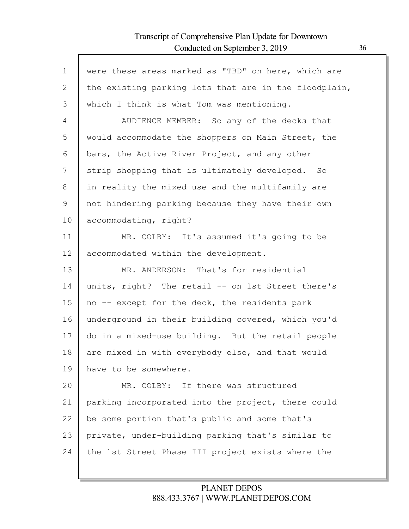$\Gamma$ 

| $\mathbf 1$  | were these areas marked as "TBD" on here, which are   |
|--------------|-------------------------------------------------------|
| $\mathbf{2}$ | the existing parking lots that are in the floodplain, |
| 3            | which I think is what Tom was mentioning.             |
| 4            | AUDIENCE MEMBER: So any of the decks that             |
| 5            | would accommodate the shoppers on Main Street, the    |
| 6            | bars, the Active River Project, and any other         |
| 7            | strip shopping that is ultimately developed. So       |
| 8            | in reality the mixed use and the multifamily are      |
| 9            | not hindering parking because they have their own     |
| 10           | accommodating, right?                                 |
| 11           | MR. COLBY: It's assumed it's going to be              |
| 12           | accommodated within the development.                  |
| 13           | MR. ANDERSON: That's for residential                  |
| 14           | units, right? The retail -- on 1st Street there's     |
| 15           | no -- except for the deck, the residents park         |
| 16           | underground in their building covered, which you'd    |
| 17           | do in a mixed-use building. But the retail people     |
| 18           | are mixed in with everybody else, and that would      |
| 19           | have to be somewhere.                                 |
| 20           | MR. COLBY: If there was structured                    |
| 21           | parking incorporated into the project, there could    |
| 22           | be some portion that's public and some that's         |
| 23           | private, under-building parking that's similar to     |
| 24           | the 1st Street Phase III project exists where the     |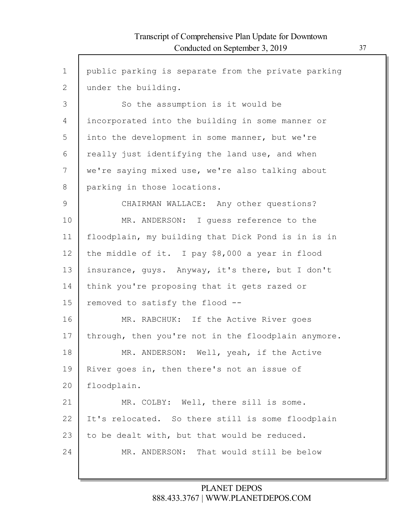$\mathsf{l}$ 

| $\mathbf 1$ | public parking is separate from the private parking |
|-------------|-----------------------------------------------------|
| 2           | under the building.                                 |
| 3           | So the assumption is it would be                    |
| 4           | incorporated into the building in some manner or    |
| 5           | into the development in some manner, but we're      |
| 6           | really just identifying the land use, and when      |
| 7           | we're saying mixed use, we're also talking about    |
| 8           | parking in those locations.                         |
| 9           | CHAIRMAN WALLACE: Any other questions?              |
| 10          | MR. ANDERSON: I guess reference to the              |
| 11          | floodplain, my building that Dick Pond is in is in  |
| 12          | the middle of it. I pay \$8,000 a year in flood     |
| 13          | insurance, guys. Anyway, it's there, but I don't    |
| 14          | think you're proposing that it gets razed or        |
| 15          | removed to satisfy the flood --                     |
| 16          | MR. RABCHUK: If the Active River goes               |
| 17          | through, then you're not in the floodplain anymore. |
| 18          | MR. ANDERSON: Well, yeah, if the Active             |
| 19          | River goes in, then there's not an issue of         |
| 20          | floodplain.                                         |
| 21          | MR. COLBY: Well, there sill is some.                |
| 22          | It's relocated. So there still is some floodplain   |
| 23          | to be dealt with, but that would be reduced.        |
| 24          | MR. ANDERSON: That would still be below             |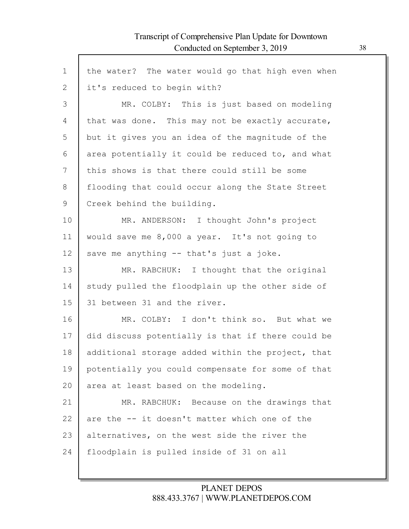$\Gamma$ 

| $\mathbf 1$ | the water? The water would go that high even when |
|-------------|---------------------------------------------------|
| 2           | it's reduced to begin with?                       |
| 3           | MR. COLBY: This is just based on modeling         |
| 4           | that was done. This may not be exactly accurate,  |
| 5           | but it gives you an idea of the magnitude of the  |
| 6           | area potentially it could be reduced to, and what |
| 7           | this shows is that there could still be some      |
| 8           | flooding that could occur along the State Street  |
| 9           | Creek behind the building.                        |
| 10          | MR. ANDERSON: I thought John's project            |
| 11          | would save me 8,000 a year. It's not going to     |
| 12          | save me anything -- that's just a joke.           |
| 13          | MR. RABCHUK: I thought that the original          |
| 14          | study pulled the floodplain up the other side of  |
| 15          | 31 between 31 and the river.                      |
| 16          | MR. COLBY: I don't think so. But what we          |
| 17          | did discuss potentially is that if there could be |
| 18          | additional storage added within the project, that |
| 19          | potentially you could compensate for some of that |
| 20          | area at least based on the modeling.              |
| 21          | MR. RABCHUK: Because on the drawings that         |
| 22          | are the -- it doesn't matter which one of the     |
| 23          | alternatives, on the west side the river the      |
| 24          | floodplain is pulled inside of 31 on all          |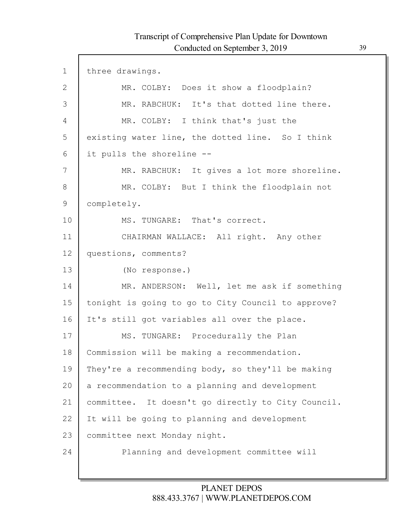I

| 1  | three drawings.                                    |
|----|----------------------------------------------------|
| 2  | MR. COLBY: Does it show a floodplain?              |
| 3  | MR. RABCHUK: It's that dotted line there.          |
| 4  | MR. COLBY: I think that's just the                 |
| 5  | existing water line, the dotted line. So I think   |
| 6  | it pulls the shoreline --                          |
| 7  | MR. RABCHUK: It gives a lot more shoreline.        |
| 8  | MR. COLBY: But I think the floodplain not          |
| 9  | completely.                                        |
| 10 | MS. TUNGARE: That's correct.                       |
| 11 | CHAIRMAN WALLACE: All right. Any other             |
| 12 | questions, comments?                               |
| 13 | (No response.)                                     |
| 14 | MR. ANDERSON: Well, let me ask if something        |
| 15 | tonight is going to go to City Council to approve? |
| 16 | It's still got variables all over the place.       |
| 17 | MS. TUNGARE: Procedurally the Plan                 |
| 18 | Commission will be making a recommendation.        |
| 19 | They're a recommending body, so they'll be making  |
| 20 | a recommendation to a planning and development     |
| 21 | committee. It doesn't go directly to City Council. |
| 22 | It will be going to planning and development       |
| 23 | committee next Monday night.                       |
| 24 | Planning and development committee will            |
|    |                                                    |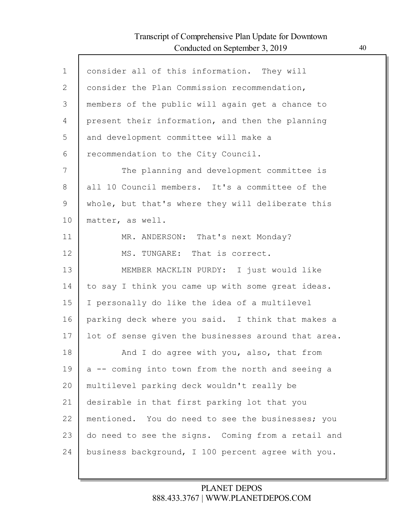Г

| $\mathbf{1}$ | consider all of this information. They will         |
|--------------|-----------------------------------------------------|
| 2            | consider the Plan Commission recommendation,        |
| 3            | members of the public will again get a chance to    |
| 4            | present their information, and then the planning    |
| 5            | and development committee will make a               |
| 6            | recommendation to the City Council.                 |
| 7            | The planning and development committee is           |
| 8            | all 10 Council members. It's a committee of the     |
| 9            | whole, but that's where they will deliberate this   |
| 10           | matter, as well.                                    |
| 11           | MR. ANDERSON: That's next Monday?                   |
| 12           | MS. TUNGARE: That is correct.                       |
| 13           | MEMBER MACKLIN PURDY: I just would like             |
| 14           | to say I think you came up with some great ideas.   |
| 15           | I personally do like the idea of a multilevel       |
| 16           | parking deck where you said. I think that makes a   |
| 17           | lot of sense given the businesses around that area. |
| 18           | And I do agree with you, also, that from            |
| 19           | a -- coming into town from the north and seeing a   |
| 20           | multilevel parking deck wouldn't really be          |
| 21           | desirable in that first parking lot that you        |
| 22           | mentioned. You do need to see the businesses; you   |
| 23           | do need to see the signs. Coming from a retail and  |
| 24           | business background, I 100 percent agree with you.  |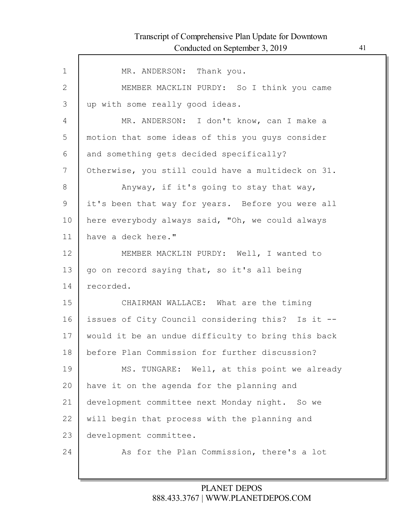| MR. ANDERSON: Thank you.                           |
|----------------------------------------------------|
| MEMBER MACKLIN PURDY: So I think you came          |
| up with some really good ideas.                    |
| MR. ANDERSON: I don't know, can I make a           |
| motion that some ideas of this you guys consider   |
| and something gets decided specifically?           |
| Otherwise, you still could have a multideck on 31. |
| Anyway, if it's going to stay that way,            |
| it's been that way for years. Before you were all  |
| here everybody always said, "Oh, we could always   |
| have a deck here."                                 |
| MEMBER MACKLIN PURDY: Well, I wanted to            |
| go on record saying that, so it's all being        |
| recorded.                                          |
| CHAIRMAN WALLACE: What are the timing              |
| issues of City Council considering this? Is it --  |
| would it be an undue difficulty to bring this back |
| before Plan Commission for further discussion?     |
| MS. TUNGARE: Well, at this point we already        |
| have it on the agenda for the planning and         |
| development committee next Monday night. So we     |
| will begin that process with the planning and      |
| development committee.                             |
| As for the Plan Commission, there's a lot          |
|                                                    |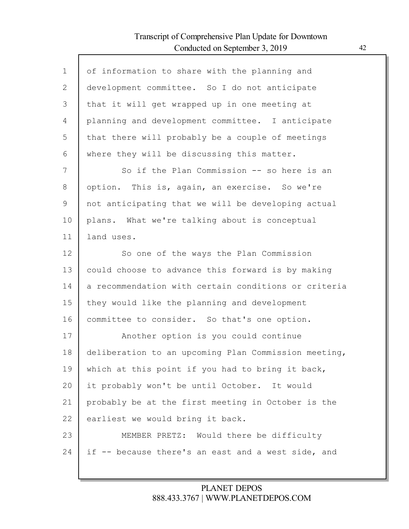Г

| $\mathbf 1$ | of information to share with the planning and        |
|-------------|------------------------------------------------------|
| 2           | development committee. So I do not anticipate        |
| 3           | that it will get wrapped up in one meeting at        |
| 4           | planning and development committee. I anticipate     |
| 5           | that there will probably be a couple of meetings     |
| 6           | where they will be discussing this matter.           |
| 7           | So if the Plan Commission -- so here is an           |
| 8           | option. This is, again, an exercise. So we're        |
| 9           | not anticipating that we will be developing actual   |
| 10          | plans. What we're talking about is conceptual        |
| 11          | land uses.                                           |
| 12          | So one of the ways the Plan Commission               |
| 13          | could choose to advance this forward is by making    |
| 14          | a recommendation with certain conditions or criteria |
| 15          | they would like the planning and development         |
| 16          | committee to consider. So that's one option.         |
| 17          | Another option is you could continue                 |
| 18          | deliberation to an upcoming Plan Commission meeting, |
| 19          | which at this point if you had to bring it back,     |
| 20          | it probably won't be until October. It would         |
| 21          | probably be at the first meeting in October is the   |
| 22          | earliest we would bring it back.                     |
| 23          | MEMBER PRETZ: Would there be difficulty              |
| 24          | if -- because there's an east and a west side, and   |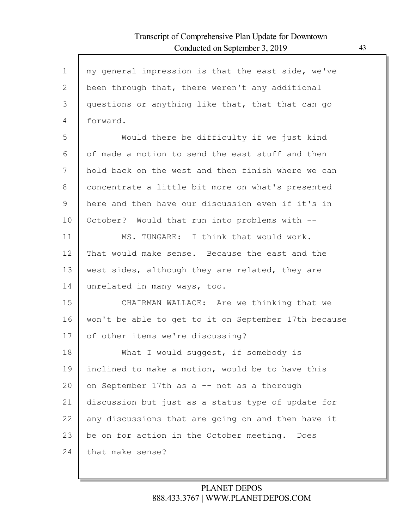| $\mathbf 1$  | my general impression is that the east side, we've   |
|--------------|------------------------------------------------------|
| $\mathbf{2}$ | been through that, there weren't any additional      |
| 3            | questions or anything like that, that that can go    |
| 4            | forward.                                             |
| 5            | Would there be difficulty if we just kind            |
| 6            | of made a motion to send the east stuff and then     |
| 7            | hold back on the west and then finish where we can   |
| 8            | concentrate a little bit more on what's presented    |
| $\mathsf 9$  | here and then have our discussion even if it's in    |
| 10           | October? Would that run into problems with --        |
| 11           | MS. TUNGARE: I think that would work.                |
| 12           | That would make sense. Because the east and the      |
| 13           | west sides, although they are related, they are      |
| 14           | unrelated in many ways, too.                         |
| 15           | CHAIRMAN WALLACE: Are we thinking that we            |
| 16           | won't be able to get to it on September 17th because |
| 17           | of other items we're discussing?                     |
| 18           | What I would suggest, if somebody is                 |
| 19           | inclined to make a motion, would be to have this     |
| 20           | on September 17th as a -- not as a thorough          |
| 21           | discussion but just as a status type of update for   |
| 22           | any discussions that are going on and then have it   |
| 23           | be on for action in the October meeting. Does        |
| 24           | that make sense?                                     |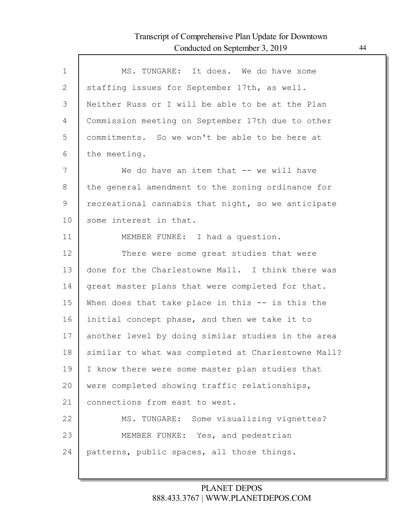Г

| $\mathbf{1}$ | MS. TUNGARE: It does. We do have some               |
|--------------|-----------------------------------------------------|
| 2            | staffing issues for September 17th, as well.        |
| 3            | Neither Russ or I will be able to be at the Plan    |
| 4            | Commission meeting on September 17th due to other   |
| 5            | commitments. So we won't be able to be here at      |
| 6            | the meeting.                                        |
| 7            | We do have an item that -- we will have             |
| 8            | the general amendment to the zoning ordinance for   |
| 9            | recreational cannabis that night, so we anticipate  |
| 10           | some interest in that.                              |
| 11           | MEMBER FUNKE: I had a question.                     |
| 12           | There were some great studies that were             |
| 13           | done for the Charlestowne Mall. I think there was   |
| 14           | great master plans that were completed for that.    |
| 15           | When does that take place in this $-$ is this the   |
| 16           | initial concept phase, and then we take it to       |
| 17           | another level by doing similar studies in the area  |
| 18           | similar to what was completed at Charlestowne Mall? |
| 19           | I know there were some master plan studies that     |
| 20           | were completed showing traffic relationships,       |
| 21           | connections from east to west.                      |
| 22           | MS. TUNGARE: Some visualizing vignettes?            |
| 23           | MEMBER FUNKE: Yes, and pedestrian                   |
| 24           | patterns, public spaces, all those things.          |
|              |                                                     |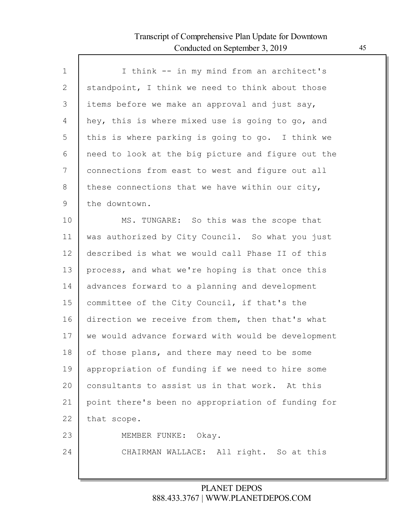| $\mathbf{1}$ | I think -- in my mind from an architect's          |
|--------------|----------------------------------------------------|
| 2            | standpoint, I think we need to think about those   |
| 3            | items before we make an approval and just say,     |
| 4            | hey, this is where mixed use is going to go, and   |
| 5            | this is where parking is going to go. I think we   |
| 6            | need to look at the big picture and figure out the |
| 7            | connections from east to west and figure out all   |
| 8            | these connections that we have within our city,    |
| 9            | the downtown.                                      |
| 10           | MS. TUNGARE: So this was the scope that            |
| 11           | was authorized by City Council. So what you just   |
| 12           | described is what we would call Phase II of this   |
| 13           | process, and what we're hoping is that once this   |
| 14           | advances forward to a planning and development     |
| 15           | committee of the City Council, if that's the       |
| 16           | direction we receive from them, then that's what   |
| 17           | we would advance forward with would be development |
| 18           | of those plans, and there may need to be some      |
| 19           | appropriation of funding if we need to hire some   |
| 20           | consultants to assist us in that work. At this     |
| 21           | point there's been no appropriation of funding for |
| 22           | that scope.                                        |
| 23           | MEMBER FUNKE: Okay.                                |
| 24           | CHAIRMAN WALLACE: All right. So at this            |
|              |                                                    |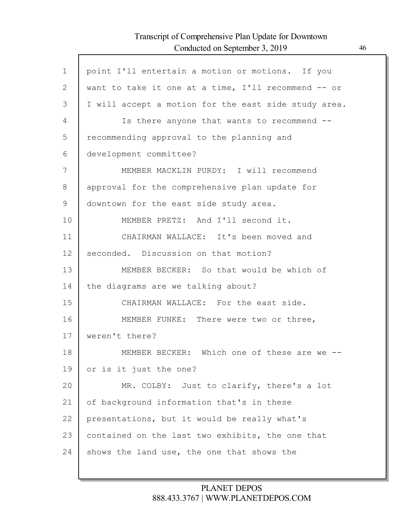| $\mathbf 1$ | point I'll entertain a motion or motions. If you     |
|-------------|------------------------------------------------------|
| 2           | want to take it one at a time, I'll recommend -- or  |
| 3           | I will accept a motion for the east side study area. |
| 4           | Is there anyone that wants to recommend --           |
| 5           | recommending approval to the planning and            |
| 6           | development committee?                               |
| 7           | MEMBER MACKLIN PURDY: I will recommend               |
| 8           | approval for the comprehensive plan update for       |
| 9           | downtown for the east side study area.               |
| 10          | MEMBER PRETZ: And I'll second it.                    |
| 11          | CHAIRMAN WALLACE: It's been moved and                |
| 12          | seconded. Discussion on that motion?                 |
| 13          | MEMBER BECKER: So that would be which of             |
| 14          | the diagrams are we talking about?                   |
| 15          | CHAIRMAN WALLACE: For the east side.                 |
| 16          | MEMBER FUNKE: There were two or three,               |
| 17          | weren't there?                                       |
| 18          | MEMBER BECKER: Which one of these are we --          |
| 19          | or is it just the one?                               |
| 20          | MR. COLBY: Just to clarify, there's a lot            |
| 21          | of background information that's in these            |
| 22          | presentations, but it would be really what's         |
| 23          | contained on the last two exhibits, the one that     |
| 24          | shows the land use, the one that shows the           |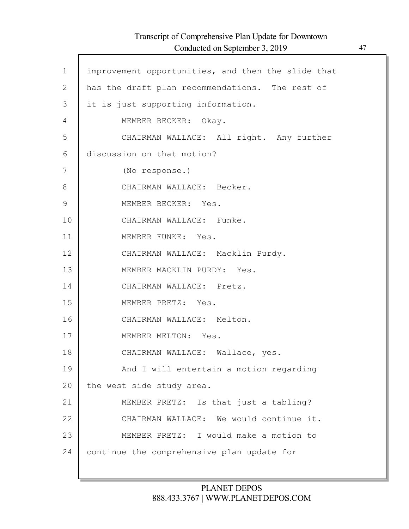Г

| $\mathbf{1}$ | improvement opportunities, and then the slide that |
|--------------|----------------------------------------------------|
| $\mathbf{2}$ | has the draft plan recommendations. The rest of    |
| 3            | it is just supporting information.                 |
| 4            | MEMBER BECKER: Okay.                               |
| 5            | CHAIRMAN WALLACE: All right. Any further           |
| 6            | discussion on that motion?                         |
| 7            | (No response.)                                     |
| 8            | CHAIRMAN WALLACE: Becker.                          |
| 9            | MEMBER BECKER: Yes.                                |
| 10           | CHAIRMAN WALLACE: Funke.                           |
| 11           | MEMBER FUNKE: Yes.                                 |
| 12           | CHAIRMAN WALLACE: Macklin Purdy.                   |
| 13           | MEMBER MACKLIN PURDY: Yes.                         |
| 14           | CHAIRMAN WALLACE: Pretz.                           |
| 15           | MEMBER PRETZ: Yes.                                 |
| 16           | CHAIRMAN WALLACE: Melton.                          |
| 17           | MEMBER MELTON: Yes.                                |
| 18           | CHAIRMAN WALLACE: Wallace, yes.                    |
| 19           | And I will entertain a motion regarding            |
| 20           | the west side study area.                          |
| 21           | MEMBER PRETZ: Is that just a tabling?              |
| 22           | CHAIRMAN WALLACE: We would continue it.            |
| 23           | MEMBER PRETZ: I would make a motion to             |
| 24           | continue the comprehensive plan update for         |
|              |                                                    |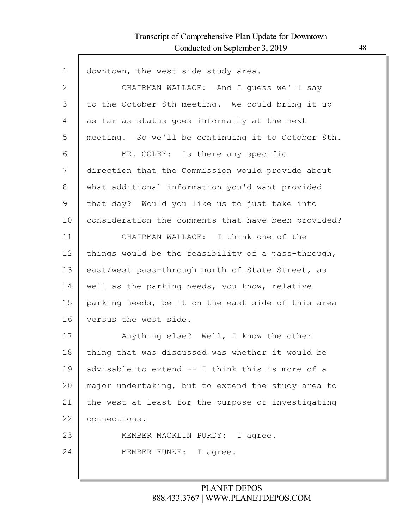Г

| $\mathbf{1}$ | downtown, the west side study area.                 |
|--------------|-----------------------------------------------------|
| $\mathbf{2}$ | CHAIRMAN WALLACE: And I quess we'll say             |
| 3            | to the October 8th meeting. We could bring it up    |
| 4            | as far as status goes informally at the next        |
| 5            | meeting. So we'll be continuing it to October 8th.  |
| 6            | MR. COLBY: Is there any specific                    |
| 7            | direction that the Commission would provide about   |
| 8            | what additional information you'd want provided     |
| 9            | that day? Would you like us to just take into       |
| 10           | consideration the comments that have been provided? |
| 11           | CHAIRMAN WALLACE: I think one of the                |
| 12           | things would be the feasibility of a pass-through,  |
| 13           | east/west pass-through north of State Street, as    |
| 14           | well as the parking needs, you know, relative       |
| 15           | parking needs, be it on the east side of this area  |
| 16           | versus the west side.                               |
| 17           | Anything else? Well, I know the other               |
| 18           | thing that was discussed was whether it would be    |
| 19           | advisable to extend -- I think this is more of a    |
| 20           | major undertaking, but to extend the study area to  |
| 21           | the west at least for the purpose of investigating  |
| 22           | connections.                                        |
| 23           | MEMBER MACKLIN PURDY: I agree.                      |
| 24           | MEMBER FUNKE: I agree.                              |
|              |                                                     |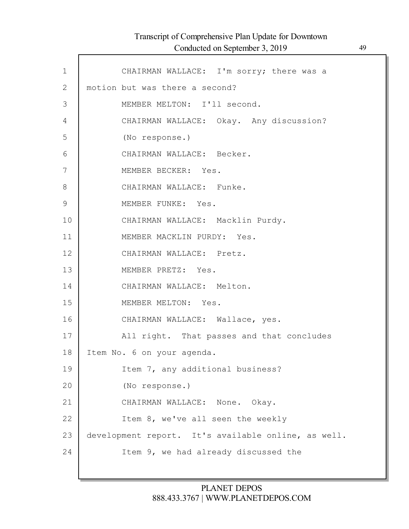| Transcript of Comprehensive Plan Update for Downtown |    |
|------------------------------------------------------|----|
| Conducted on September 3, 2019                       | 49 |

| $\mathbf 1$   | CHAIRMAN WALLACE: I'm sorry; there was a            |
|---------------|-----------------------------------------------------|
| $\mathbf{2}$  | motion but was there a second?                      |
| 3             | MEMBER MELTON: I'll second.                         |
| 4             | CHAIRMAN WALLACE: Okay. Any discussion?             |
| 5             | (No response.)                                      |
| 6             | CHAIRMAN WALLACE: Becker.                           |
| 7             | MEMBER BECKER: Yes.                                 |
| 8             | CHAIRMAN WALLACE: Funke.                            |
| $\mathcal{G}$ | MEMBER FUNKE: Yes.                                  |
| 10            | CHAIRMAN WALLACE: Macklin Purdy.                    |
| 11            | MEMBER MACKLIN PURDY: Yes.                          |
| 12            | CHAIRMAN WALLACE: Pretz.                            |
| 13            | MEMBER PRETZ: Yes.                                  |
| 14            | CHAIRMAN WALLACE: Melton.                           |
| 15            | MEMBER MELTON: Yes.                                 |
| 16            | CHAIRMAN WALLACE: Wallace, yes.                     |
| 17            | All right. That passes and that concludes           |
| 18            | Item No. 6 on your agenda.                          |
| 19            | Item 7, any additional business?                    |
| 20            | (No response.)                                      |
| 21            | CHAIRMAN WALLACE: None. Okay.                       |
| 22            | Item 8, we've all seen the weekly                   |
| 23            | development report. It's available online, as well. |
| 24            | Item 9, we had already discussed the                |
|               |                                                     |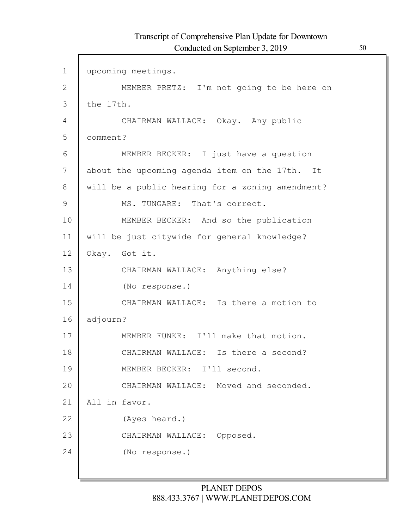| $\mathbf{1}$  | upcoming meetings.                               |
|---------------|--------------------------------------------------|
| $\mathbf{2}$  | MEMBER PRETZ: I'm not going to be here on        |
| 3             | the 17th.                                        |
| 4             | CHAIRMAN WALLACE: Okay. Any public               |
| 5             | comment?                                         |
| 6             | MEMBER BECKER: I just have a question            |
| 7             | about the upcoming agenda item on the 17th. It   |
| 8             | will be a public hearing for a zoning amendment? |
| $\mathcal{G}$ | MS. TUNGARE: That's correct.                     |
| 10            | MEMBER BECKER: And so the publication            |
| 11            | will be just citywide for general knowledge?     |
| 12            | Okay. Got it.                                    |
| 13            | CHAIRMAN WALLACE: Anything else?                 |
| 14            | (No response.)                                   |
| 15            | CHAIRMAN WALLACE: Is there a motion to           |
| 16            | adjourn?                                         |
| 17            | MEMBER FUNKE: I'll make that motion.             |
| 18            | CHAIRMAN WALLACE: Is there a second?             |
| 19            | MEMBER BECKER: I'll second.                      |
| 20            | CHAIRMAN WALLACE: Moved and seconded.            |
| 21            | All in favor.                                    |
| 22            | (Ayes heard.)                                    |
| 23            | CHAIRMAN WALLACE: Opposed.                       |
| 24            | (No response.)                                   |
|               |                                                  |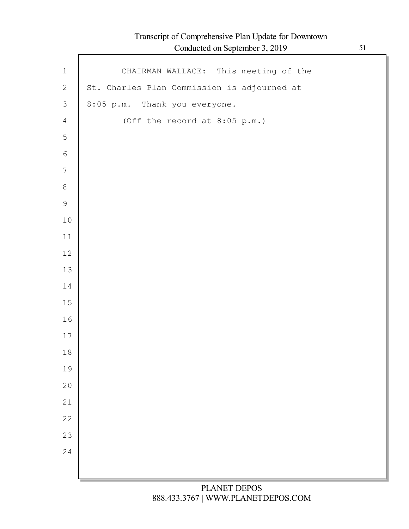| $\,1\,$        | CHAIRMAN WALLACE: This meeting of the       |
|----------------|---------------------------------------------|
| $\mathbf{2}$   | St. Charles Plan Commission is adjourned at |
| $\mathfrak{Z}$ | 8:05 p.m. Thank you everyone.               |
| $\overline{4}$ | (Off the record at 8:05 p.m.)               |
| $\mathsf S$    |                                             |
| $\sqrt{6}$     |                                             |
| $\overline{7}$ |                                             |
| $\,8\,$        |                                             |
| $\mathsf 9$    |                                             |
| $10\,$         |                                             |
| $11$           |                                             |
| $12$           |                                             |
| $13$           |                                             |
| 14             |                                             |
| $15\,$         |                                             |
| 16             |                                             |
| $17$           |                                             |
| $1\,8$         |                                             |
| 19             |                                             |
| 20             |                                             |
| 21             |                                             |
| 22             |                                             |
| 23             |                                             |
| 24             |                                             |
|                |                                             |